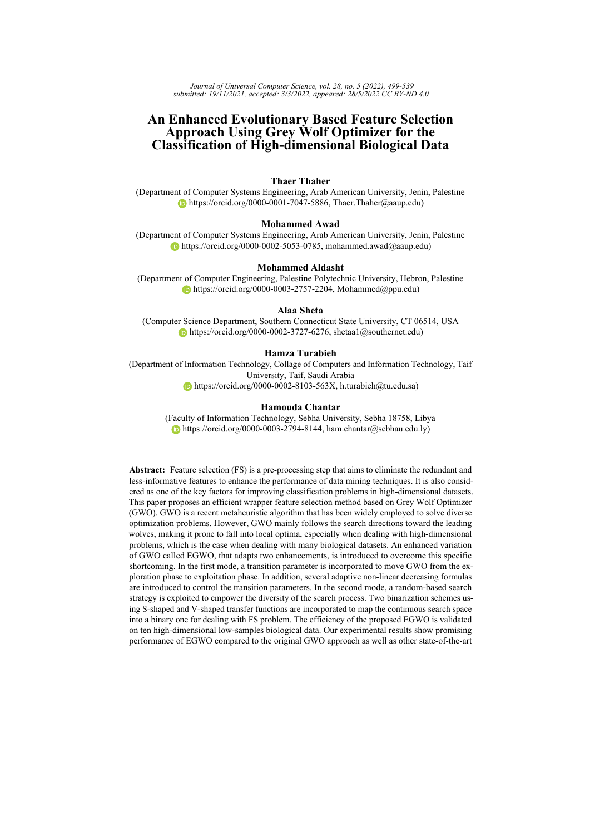*Journal of Universal Computer Science, vol. 28, no. 5 (2022), 499-539 submitted: 19/11/2021, accepted: 3/3/2022, appeared: 28/5/2022 CC BY-ND 4.0*

# **An Enhanced Evolutionary Based Feature Selection Approach Using Grey Wolf Optimizer for the Classification of High-dimensional Biological Data**

# **Thaer Thaher**

(Department of Computer Systems Engineering, Arab American University, Jenin, Palestine  $\bullet$  [https://orcid.org/0000-0001-7047-5886,](https://orcid.org/0000-0001-7047-5886) Thaer.Thaher@aaup.edu)

#### **Mohammed Awad**

(Department of Computer Systems Engineering, Arab American University, Jenin, Palestine  $\bullet$  [https://orcid.org/0000-0002-5053-0785,](https://orcid.org/0000-0002-5053-0785) mohammed.awad@aaup.edu)

#### **Mohammed Aldasht**

(Department of Computer Engineering, Palestine Polytechnic University, Hebron, Palestine  $\bullet$  [https://orcid.org/0000-0003-2757-2204,](https://orcid.org/0000-0003-2757-2204) Mohammed@ppu.edu)

#### **Alaa Sheta**

(Computer Science Department, Southern Connecticut State University, CT 06514, USA [https://orcid.org/0000-0002-3727-6276,](https://orcid.org/0000-0002-3727-6276) shetaa1@southernct.edu)

## **Hamza Turabieh**

(Department of Information Technology, Collage of Computers and Information Technology, Taif University, Taif, Saudi Arabia [https://orcid.org/0000-0002-8103-563X,](https://orcid.org/0000-0002-8103-563X) h.turabieh@tu.edu.sa)

#### **Hamouda Chantar**

(Faculty of Information Technology, Sebha University, Sebha 18758, Libya [https://orcid.org/0000-0003-2794-8144,](https://orcid.org/0000-0003-2794-8144) ham.chantar@sebhau.edu.ly)

**Abstract:** Feature selection (FS) is a pre-processing step that aims to eliminate the redundant and less-informative features to enhance the performance of data mining techniques. It is also considered as one of the key factors for improving classification problems in high-dimensional datasets. This paper proposes an efficient wrapper feature selection method based on Grey Wolf Optimizer (GWO). GWO is a recent metaheuristic algorithm that has been widely employed to solve diverse optimization problems. However, GWO mainly follows the search directions toward the leading wolves, making it prone to fall into local optima, especially when dealing with high-dimensional problems, which is the case when dealing with many biological datasets. An enhanced variation of GWO called EGWO, that adapts two enhancements, is introduced to overcome this specific shortcoming. In the first mode, a transition parameter is incorporated to move GWO from the exploration phase to exploitation phase. In addition, several adaptive non-linear decreasing formulas are introduced to control the transition parameters. In the second mode, a random-based search strategy is exploited to empower the diversity of the search process. Two binarization schemes using S-shaped and V-shaped transfer functions are incorporated to map the continuous search space into a binary one for dealing with FS problem. The efficiency of the proposed EGWO is validated on ten high-dimensional low-samples biological data. Our experimental results show promising performance of EGWO compared to the original GWO approach as well as other state-of-the-art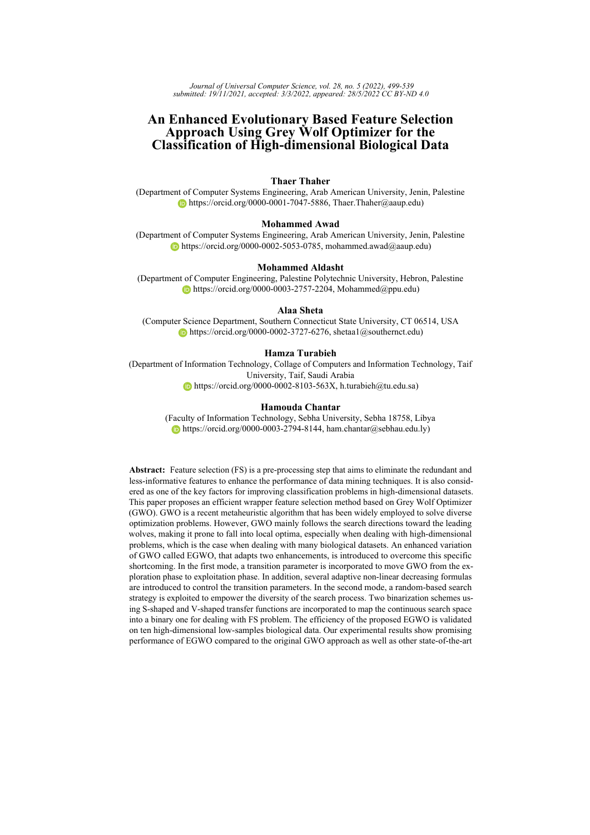techniques in terms of dimensionality reduction and the enhancement of classification performance.

**Keywords:** Feature selection, Enhanced grey wolf optimizer, Binary grey wolf optimizer, Classification, Biological data, Exploration, Metaheuristics **Categories:** H.3.1, H.3.2, H.3.3, H.3.7, H.5.1 **DOI:** 10.3897/jucs.78218

# **1 Introduction**

Recently, there has been a growing interest to deal with high-dimensional data classification problems. The reason is that the high-dimensional data classification causes a substantial statistical burden, and makes conventional classification algorithms unfeasible to use [\[Pappu and Pardalos, 2013\]](#page-39-0). High dimensional data classification can be found in many real world applications, including medical diagnosis of tumors based on micro-array data, sentiment classification of online reviews [\[Ghaddar and Naoum-](#page-37-0)[Sawaya, 2018\]](#page-37-0), emotion recognition from ECG signals [\[Sepúlveda et al., 2021\]](#page-39-1), and diagnosis of severity rating of Parkinson's disease [\[Balaji et al., 2021\]](#page-36-0). In general, the quality of data is a crucial factor that deeply impacts the performance of data mining techniques such as classification. For instance, the presence of irrelevant or redundant information may adversely affect the predictive ability of the machine learning algorithms. In real-life, most problems are high dimensional. When taking biological data, for example, an excessive number of features are usually collected during the data acquisition phase. So, filtering the biological data for extracting the most valuable information (i.e., features) is considered as a complex and time-consuming task [\[Lin et al., 2019\]](#page-38-0). That is to say, having a dataset with a large number of features may negatively affect the performance of the learning algorithm. Feature Selection (FS) is one of the most acceptable approaches that can be used to reduce the data dimensionality, which will enhance the overall performance of the learning process, and reduces execution time [\[Guyon and Elisseeff, 2003,](#page-37-1) [Liu and Motoda, 2012\]](#page-38-1).

FS is employed to find the most informative features that can be used to build a robust classification model. The main objective of FS is to reduce the dimensionality of a dataset by eliminating the unnecessary (i.e., irrelevant and redundant) features. Moreover, removing irrelevant features will lead to reduce the memory usage, enhance the learning process and decreasing the computational time required for performing the classification task [\[Zhao et al., 2010\]](#page-40-0). FS is a challenging multi-objective optimization problem that aims to find the minimum subset of the most relevant features for data classification task (i.e., preserving the maximum classification performance). Based on the criteria used for assessing the quality of the chosen subset of features, FS methods are categorized into two prominent families: filters or wrappers [\[Chantar et al., 2021\]](#page-36-1). In the filter methods, features are chosen based on their scores determined using various statistical tests for quantifying their correlation with the response variable. In this way, the selection of features is independent of any machine learning algorithms. In contrast, wrapper FS approaches involve two components to find the optimal subset of features: search algorithm and evaluation method. The search strategy, which is mostly a heuristic algorithm, is employed to explore the search space for finding the ideal subset of features, while a specific machine learning algorithm is used to evaluate the goodness of the features subset provided by the search algorithm. In general, wrapper FS, compared to filter FS, can achieve better in terms of classification accuracy since it can expose and utilize dependencies between selected candidates in a subset of features [\[Chantar](#page-36-2)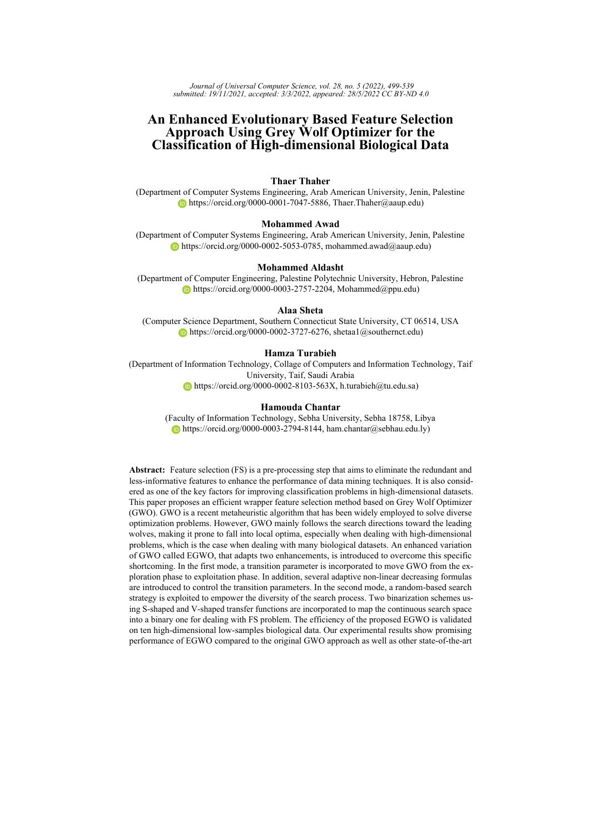[et al., 2020\]](#page-36-2). Among the various FS techniques, wrapper methods have been successfully applied in many recent studies [\[Nguyen et al., 2020,](#page-39-2) [Al-Tashi et al., 2020,](#page-36-3) [Xue et al.,](#page-40-1) [2016,](#page-40-1) [Alweshah et al., 2021,](#page-36-4) [Awadallah et al., 2022,](#page-36-5) [Awadallah et al., 2020\]](#page-36-6).

Generating a high informative subset of features is a challenging search task. Three possible strategies can be used to address the FS problem: exhaustive search, random search, and heuristic search strategies [\[Mafarja and Mirjalili, 2017\]](#page-39-3). In the exhaustive search, FS methods examine a large number of subsets to find the most accurate one. For example, if the original dataset has N features (i.e., inputs), there will be  $2^N$  1 subsets generated from the original dataset. Examining all possible subsets my lead to find the best subset based on the evaluation criterion. In this case, the execution time will be high and not practical to apply an exhaustive search for real problems. In the case of random search strategy, searching for the subsequent feature subset in the feature space is performed in a random way [\[Lai et al., 2006\]](#page-38-2). Similar to complete search, the random search may lead in some cases to generate all possible subsets of features [\[Talbi, 2009\]](#page-40-2). To overcome the limitation of exhaustive search methods, heuristics and metaheuristics search can be used as effective alternative methods to find the best subset of features in an acceptable execution time [\[Glover and Kochenberger, 2006\]](#page-37-2). Metaheuristic algorithms usually come in two flavors: single-based solution (i.e., trajectory-based) or population-based algorithms. Both methods try to enhance that solution/population in an iterative manner until the stop condition is achieved. However, the population-based methods try to gain a balance between exploration and exploitation processes. This balancing makes population-based approaches more reliable for complex problems with high dimensional input data [\[Talbi, 2009\]](#page-40-2). To date, metaheuristics algorithms show an excellent performance for solving real complex problems in FS domains [\[Nguyen et al.,](#page-39-2) [2020,](#page-39-2) [Mafarja et al., 2020,](#page-39-4) [Hassouneh et al., 2021\]](#page-37-3).

Currently, Swarm Intelligence (SI) based metaheuristics are widely applied as wrapper FS approaches [\[Rostami et al., 2021\]](#page-39-5). In 2014, a new SI-based algorithm was proposed by Mirjalili *et al.* [\[Mirjalili et al., 2014\]](#page-39-6) called Grey Wolf Optimizer (GWO). It simulates the behavior of grey wolves in nature. Since 2014, GWO have been employed successfully in variety of real-world optimization problems such as scheduling problems [\[Abed-alguni and Alawad, 2021\]](#page-35-0), text mining [\[Chantar et al., 2019\]](#page-36-7), aerial vehicles path planning [\[Qu et al., 2020\]](#page-39-7) and others [\[Erdogan et al., 2021,](#page-37-4) [Deveci and Çetin Demirel,](#page-36-8) [2018,](#page-36-8) [Çetin Demirel and Deveci, 2017,](#page-40-3) [Akyurt et al., 2021,](#page-35-1) [Faris et al., 2017,](#page-37-5) [Sharma](#page-40-4) [et al., 2020\]](#page-40-4). GWO algorithm has several advantages such as it is simple, easy to use, has fewer parameters that need to be tuned, and has an excellent switching mechanism between exploration and exploitation processes while searching for an optimal solution [\[Faris et al., 2017\]](#page-37-5).

Despite the merits of GWO, it suffers, as most meta-heuristics, from the problem of premature convergence. The primary search strategy of the GWO is mainly based on following the search trends towards the best solutions (i.e., leading wolves), making it prone to be trapped early in the local optima, especially when dealing with highdimension problems [\[Gupta and Deep, 2020\]](#page-37-6). According to [\[Faris et al., 2017,](#page-37-5) [Heidari](#page-38-3) [and Pahlavani, 2017b,](#page-38-3) [Long et al., 2018,](#page-38-4) [Lu et al., 2018,](#page-38-5) [Tu et al., 2019\]](#page-40-5), the problem of early convergence in the GWO is due to two main weaknesses: the lack of population diversity and the insufficient balance between exploration and exploitation behaviors. Consequently, the research is still open to provide more operators that will emphasize exploration potential. These reasons constitute a motivation for embedding different strategies into GWO for improving its performance.

The above-stated limitations of GWO, along with the nature of the NP-Hard FS optimization problem, are the main foundation and motivation of this research. Addition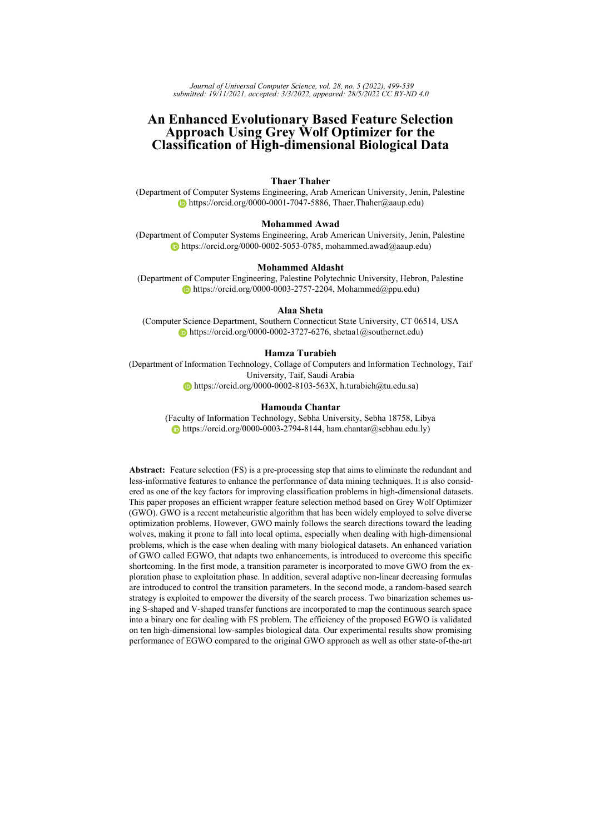ally, the No-Free-Lunch (NFL) theorem [\[Wolpert and Macready, 1997\]](#page-40-6) for optimization suggests that a universal algorithm that guarantees effective performance to handle all problems is impossible [\[Ho and Pepyne, 2002\]](#page-38-6). Furthermore, the presence of challenging classification tasks such as classifying biological and medical detests is another reason that motivated the authors of this work to develop a robust feature selection approach to tackle these problems. In this study, the authors propose an efficient wrapper-based FS method for handling the classification task of high-dimensional biological data. The proposed wrapper feature selection method employs an enhanced variant of GWO as a search algorithm. The main contributions of this research are summarized as follows:

- **–** Different binarization schemes are investigated to adapt the GWO for handling the FS problem.
- **–** An enhanced variant of GWO called EGWO is proposed to empower the exploration potential and make it better for the high-dimensional FS problem. The enhancement included boosting the original GWO with a random-based exploration operator and introducing the idea of the transition control parameter to switch between exploration and exploitation using different adaptive non-linear convergence shapes.
- **–** The proposed approach is validated through ten challenging biological datasets.
- **–** The efficiency of the proposed EGWO is verified by comparing it with six wellregarded FS algorithms and offered promising results.

The rest of the paper is structured as follows: Section [2](#page-3-0) explores a set of previous works within the same research field. Section [3](#page-6-0) presents an overview of the GWO algorithm, including the inspiration and mathematical model. Section [4](#page-10-0) is dedicated to explaining the proposed approach deeply. The experimental results are reported and discussed in section [5.](#page-17-0) Finally, Section [6](#page-32-0) concludes the overall work and presents the future direction.

## <span id="page-3-0"></span>**2 Related Works**

#### **2.1 Meta-heuristic based feature selection**

The literature reveals that FS plays a major role in many machine learning and classification tasks. Recently, a wide range of SI-based algorithms have been integrated as search strategies in various wrapper FS approaches. Instances of founded metaheuristicsbased FS approaches include Particle Swarm Optimization (PSO) [\[Xue et al., 2014\]](#page-40-7), GWO [\[Emary and Zawbaa, 2016\]](#page-37-7), Harris Hawks Optimization (HHO) [\[Thaher et al.,](#page-40-8) [2020b,](#page-40-8) [Thaher et al., 2021b\]](#page-40-9), Slim Mould Algorithm (SMA) [\[Abdel-Basset et al., 2021\]](#page-35-2), Moth-Flame Optimization (MFO) [\[Tumar et al., 2020,](#page-40-10) [Abu Khurma et al., 2021\]](#page-35-3), Whale Optimization Algorithm (WOA) [\[Mafarja et al., 2020,](#page-39-4) [Hassouneh et al., 2021,](#page-37-8) [Mafarja](#page-39-8) [et al., 2019\]](#page-39-8), Dragonfly Algorithm (DA) [\[Hammouri et al., 2020\]](#page-37-9), Marine Predators Algorithm (MPA) [\[Elminaam et al., 2021\]](#page-37-10), and others [\[Nguyen et al., 2020\]](#page-39-2). For instance, Xue et al. [\[Xue et al., 2014\]](#page-40-7) investigated two PSO-based multi-objective FS approaches for solving classification problems. The first algorithm uses the idea of non-dominated sorting, while the second one exploits the ideas of mutation, crowding, and dominance. The performance of the proposed multi-objective algorithms was compared with two classical FS approaches, a single objective and two-stage FS algorithms using twelve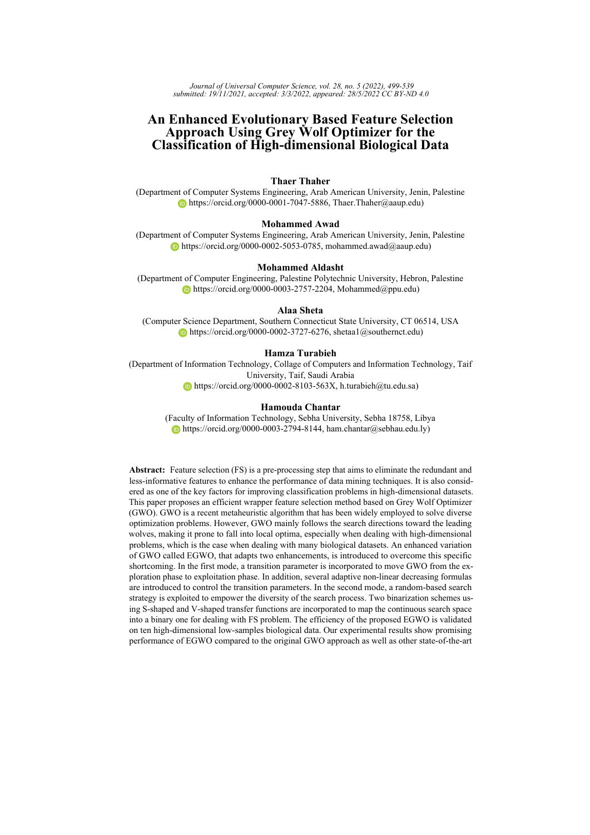benchmark data sets. The experimental results indicated that the two PSO-based multiobjective algorithms could deliver comparable results. In addition, Emary et al. [\[Emary](#page-37-11) [et al., 2015\]](#page-37-11) introduced a binary version of Firefly algorithm (FFA) to tackle FS tasks using a threshold value. The modified FFA algorithm can adaptively provide a proper balance between exploration and exploitation and find the optimal solution quickly. The proposed approach was examined on eighteen data sets and confirmed its superiority over other methods such as PSO and genetic algorithm (GA). Sayed et al. [\[Ismail Sayed et al.,](#page-38-7) [2018\]](#page-38-7) proposed a chaotic whale optimization algorithm (CWOA) where ten chaotic map functions were applied. The chaotic maps were used instead of random parameters to gain a better trade-off between the exploration and exploitation phases. Medjahed et al. [\[Medjahed et al., 2017\]](#page-39-9) proposed a complete diagnosis procedure of cancer based on binary dragonfly (BDF) algorithm with an SVM classifier. SVM-recursive feature elimination was applied to extract the gene from the datasets, and BDF was utilized to improve the performance of SVM-RFE. The proposed approach was applied over six microarray datasets and provided high satisfactory accuracy results.

As presented in [\[Emary and Zawbaa, 2016\]](#page-37-7), three FS approaches based on metaheuristic algorithms, namely GWO, ant lion optimizer (ALO), and MFO were proposed. Two chaos functions were applied for controlling the exploration rate in the three proposed FS approaches. Results of conducted experiments on a set of datasets obtained from the UCI machine learning repository indicated that chaos functions could provide better exploration and exploitation and hence, excellent performance when applied with GWO and ALO. To deal with the binary FS problem, Thaher et al. [\[Thaher et al., 2020b\]](#page-40-8) proposed a new binary Harris Hawks Optimization algorithm. The binary HHO was evaluated on high dimensional with low number of samples datasets. The results revealed that the HHO-based FS technique could be applied as a promising approach to dealing with high dimensional with few samples datasets. Mafarja and Mirjalili [\[Mafarja and](#page-39-3) [Mirjalili, 2017\]](#page-39-3) proposed two models for FS based on Whale Optimization Algorithm (WOA) and Simulated Annealing (SA) algorithms. The proposed approaches were tested on 18 standard benchmark datasets obtained from the UCI repository. The experimental results approved the efficiency of the proposed WOA-based FS approaches in selecting the most informative features for classification tasks. Finally, AgrawAal et al. [\[Agrawal](#page-35-4) [et al., 2021\]](#page-35-4) presented an extensive literature review on dealing with feature selection problems using metaheuristic algorithms.

# **2.2 Applications of GWO Algorithm**

GWO is considered as one of the effective optimization algorithms that have been proposed in the last few years. Since its appearance, it has been widely used to solve many optimization problems. For instance, [\[Mittal et al., 2016a\]](#page-39-10) GWO was applied to deal with Cluster head (CH) selection problem in wireless sensor networks (WSNs) field. Wen et al. [\[LONG Wen, 2015\]](#page-38-8) employed GWO to tackle constrained conditions for solving the problem of non-stationary multi-stage assignment. Various complex constrained optimization problems and a classical engineering design problem named pressure vessel were solved by Joshi and Arora [\[Arora and Joshi, 2017\]](#page-36-9) using the GWO algorithm. In addition, distributed Compressed Sensing (DCS) problem was tackled by Liu et al. [\[Liu](#page-38-9) [et al., 2018\]](#page-38-9) using a combination of GWO and *q*-thresholding algorithms. GWO was applied by Lu et al. [\[Lu et al., 2017\]](#page-38-10) to deal with the problem of welding scheduling in the modern industry domain. Debnath et al. [\[Debnath et al., 2017\]](#page-36-10) proposed a model based on GWO and DE algorithms for dealing with the problem of an automatic power production control in an interconnected multi-source power system. Furthermore, GWO is also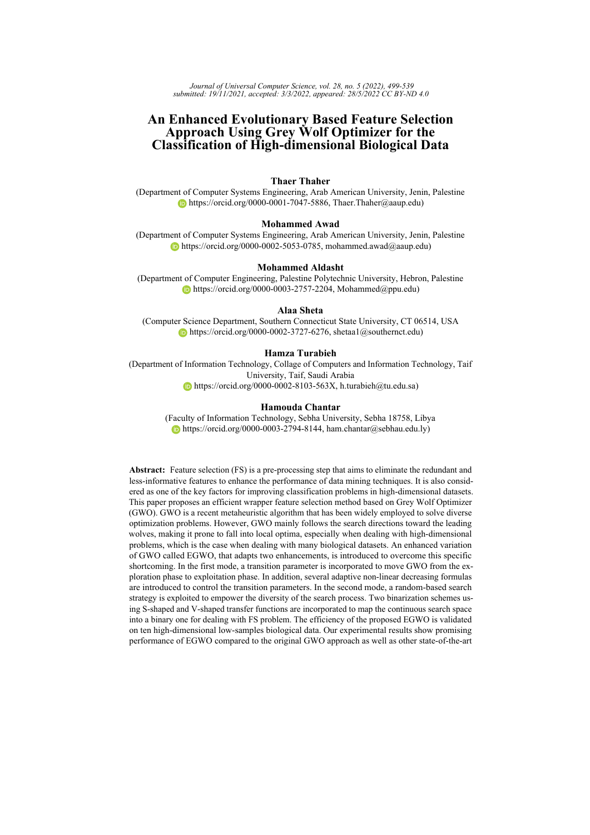utilized for solving the problem of economic load dispatch (ELD) [\[Jayabarathi et al.,](#page-38-11) [2016\]](#page-38-11). In [\[Liu and Wang, 2021\]](#page-38-12), GWO in conjunction with RNA encoding crossoveroperation was introduced to deal with the non-parametric modeling problem of the FCC process. Farughi et al. [\[Farughi et al., 2019\]](#page-37-12) applied GWO and ALO optimizers for solving the problem of population districting in health systems. Faris et al. [\[Faris et al.,](#page-37-13) [2018a\]](#page-37-13) and Negi et al. [\[Negi et al., 2020\]](#page-39-11) provide reviews of GWO-based applications related to various fields.

In addition to the above-mentioned works, many researchers have adopted the GWO algorithm as a wrapper FS method [\[Al-Tashi et al., 2020\]](#page-36-3). For example, a novel approach is proposed by Qiang et al. [\[Li et al., 2017\]](#page-38-13) that combined GA with GWO. Here, the authors used GA as a tool to generate the initial population to keep a high diversity rate, while GWO is employed as a search algorithm for updating the initial population. Emary and Zawbaa [\[Emary and Zawbaa, 2016\]](#page-37-7) enhanced the performance of GWO by using some chaotic maps rather than random numbers to find a good balance between exploration and exploitation processes.

Lately, a multi-strategy ensemble GWO called MEGWO was introduced by Tu *et al.* [\[Tu et al., 2019\]](#page-40-11) to enhance the diversification and intensification of the conventional GWO. To overcome the limitations of GWO, three different search strategies were incorporated: the adaptive cooperative strategy, the enhanced global best strategy, and disperse foraging strategy. Experimental results revealed the superiority of MEGWO in dealing with FS problems. In addition, [\[Chantar et al., 2020\]](#page-36-2) solved the FS problem for the Arabic text classification task utilizing the GWO-based wrapper FS approach. The authors incorporated an improved GWO using an elite-based crossover scheme as a search strategy. Promising results were achieved compared to other state-of-the-art methods. Moreover, Too and Abdullah[\[Too and Abdullah, 2020\]](#page-40-12) developed two binary variants of the recently established Competitive GWO (CGWO) and an opposition-based CGWO (OBCGWO) to tackle the FS problem in electromyography (EMG) pattern recognition. The experimental results confirmed that the OBCGWO yielded better classification performance. Furthermore, Abdel-Basset *et al.*[\[Abdel-Basset et al., 2020\]](#page-35-5) proposed a wrapper-based FS approach using a new fusion of GWO integrated with a two-phase mutation. Following a different FS approach, [\[Singh et al., 2020\]](#page-40-13) introduced a non-linear FS Network (FsNet) utilizing a concrete Neural Network (NN) structure comprised of a selection layer for FS and deep NN. The comprehensive survey about FS methods can be found in [\[Xue et al., 2016,](#page-40-1) [Nguyen et al., 2020\]](#page-39-2)

Recently, Al-Wajih *et al.*[\[Al-Wajih et al., 2021\]](#page-36-11) proposed a binary hybrid approach called HBGWOHHO by combining GWO with HHO to enhance the performance of the GWO algorithm for tackling the FS problem. An improved binary GWO was proposed by Hu *et al.*[\[Hu et al., 2020\]](#page-38-14) for FS tasks. The authors conducted a mathematical analysis of the range of AD values in the binary variant of GWO. Based on their analysis, new transfer functions were introduced, and a new updating strategy for the  $a$  parameter was proposed to balance the exploration and exploitation potentials. Another GWO-based wrapper FS approach was proposed in [\[P et al., 2021\]](#page-39-12). The authors integrated GWO to search the useful features to improve the performance of the botnet attack detection system.

In summary, the inspected related works confirm the effectiveness of the SI-based metaheuristics, precisely the GWO method, for FS tasks in various fields. Most of the previous methods employed transfer functions to switch the nature of SI methods from continuous to discrete (i.e., binary) structures. Moreover, many SI algorithms have been enhanced to escape from premature convergence. These algorithms' ability to explore the search space encourages many researchers to adopt them for solving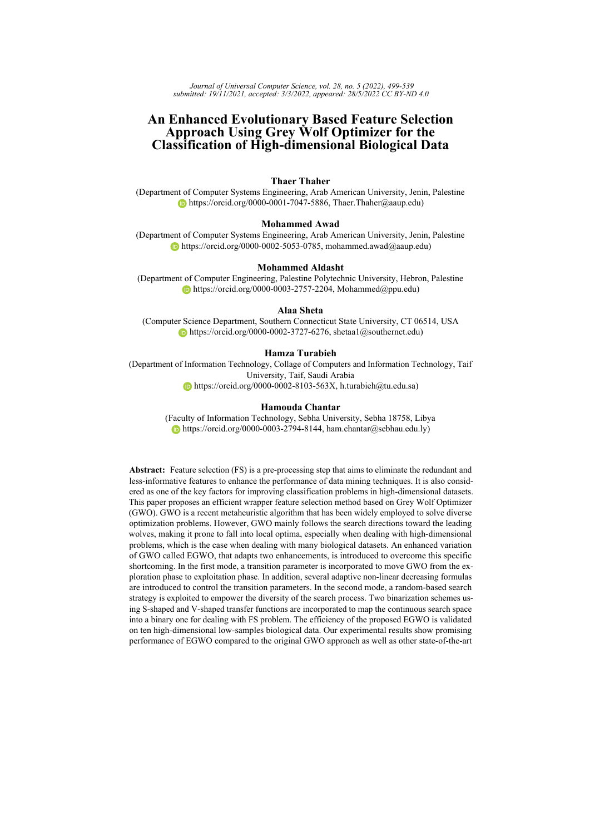complex optimization problems in FS domains. In general, swarm algorithms need a proper setting to balance the exploration and exploitation processes. Moreover, most swarm algorithms have only one parameter that controls the ratio between exploration and exploitation. For example, PSO has a parameter called inertia weight  $(\omega)$  that controls both processes. However, many papers try to enhance the controlling process of this ratio (i.e., adaptively change). Harrison et al. [\[Harrison et al., 2016\]](#page-37-14), highlighted the updating methods for the inertia weight parameter. Chuang et al. [\[Chuang et al., 2008\]](#page-36-12) proposed a chaotic logistic map to update the inertia weight parameter. For GWO, there is only one parameter (i.e., a), which controls the switching process between exploration and exploitation. The nature of this parameter decreases linearly throughout iterations. This decreasing process enables GWO to focus on exploration at the beginning of the search process and perform more exploitation at the end of the search process. However, in some challenging FS tasks, such as those with massive features, efficient exploration becomes essential to increase the probability of discovering promising regions within the search space. Consequently, other updating strategies (i.e., nonlinear, logarithm, etc.)) that can guarantee a better balance between exploration and exploitation are desired for the problem at hand. Moreover, The standard GWO allows the search agents to be updated based on the best three agents (i.e.,  $\alpha$ ,  $\beta$ ,  $and\gamma$ ). In specific, GWO is prone to stagnation in local optima areas. Therefore, better operators to emphasize exploration is required.

In addition to the NFL theorem, these concerns form the motivations of our attempt to propose an enhanced variant of GWO for high-dimensional FS tasks. In the proposed approach, a random-based updating mechanism is employed to empower the exploration tendency of GWO. In addition, instead of the linear decreasing of the value of  $(a)$ parameter during the course of the optimization process, we employed different updating strategies to the main control parameter  $(a)$  to maintain the trade-off between exploration and exploitation processes. More accurately, non-linear decreasing strategies for updating (a) parameter are used instead of the current liner function in the GWO algorithm. It can be seen that many GWO-based approaches have been introduced by other researchers for dealing with several optimization problems, including FS tasks. In Table [1,](#page-7-0) we summarize the main proposed modifications on the original version of the GWO algorithm to tackle different optimization problems. In each case, the mechanism of updating the value of  $(a)$ parameter is mentioned to show the main difference between the proposed form of GWO algorithm in this work and previously presented modified forms of GWO algorithm. It is clear that almost all previously introduced modifications of GWO use the original linear equation for updating the value of  $(a)$  parameter during the course of iterations.

# <span id="page-6-0"></span>**3 Grey Wolf Optimizer**

GWO is a population-based optimization algorithm proposed by Mirjalili *et al.* in 2014 [\[Mirjalili et al., 2014\]](#page-39-6). GWO belongs to the SI family of metaheuristics. It mainly mimics the intelligent hunting strategy, and social organization of the grey wolves [\[Faris et al.,](#page-37-5) [2017,](#page-37-5) [Heidari and Pahlavani, 2017a\]](#page-38-15). Generally, grey wolves are live in herds in which wolves are organized in an interesting social hierarchy of four levels. Figure [1](#page-7-1) presents the main organization of each pack of grey wolves.

Cooperative hunting is another promising social behavior of grey wolves in addition to the social hierarchy structure. The hunting process is straightforward; in the first phase, wolves start tracking and chasing weak prey. The second phase begins by surrounding (i.e., pursuing, encircling, and harassing) the prey to prevent it from escape. The final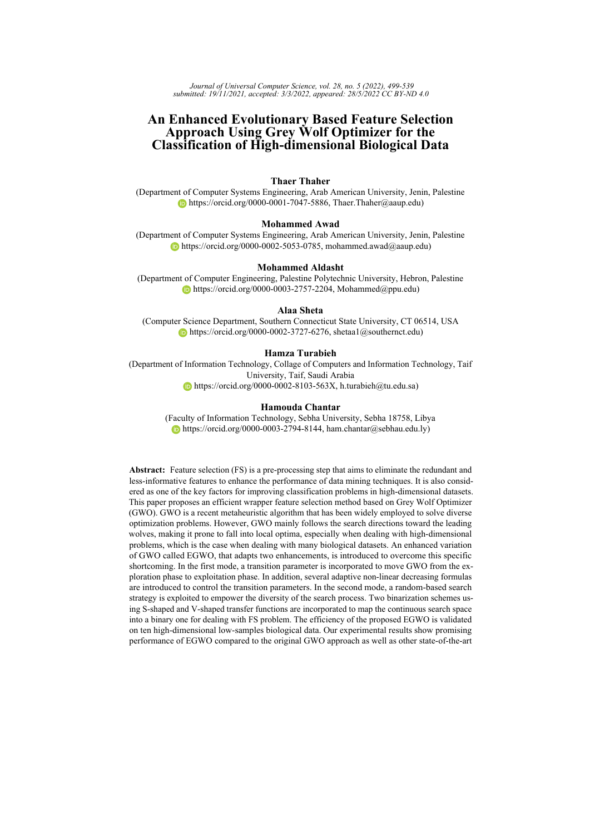<span id="page-7-0"></span>

| Proposed modification                | Parameter $(a)$         | Reference                   |
|--------------------------------------|-------------------------|-----------------------------|
| Elite-based crossover                |                         |                             |
| scheme as a search strategy          | Linearly decreased      | [Chantar et al., 2020]      |
| Combining GWO with Harris Hawks      |                         |                             |
| Optimization (HHO)                   | Linearly decreased      | [Al-Wajih et al., $2021$ ]  |
| Combining GA with GWO                | Linearly decreased      | [Li et al., 2017]           |
| Chaotic maps for better balancing    |                         |                             |
| between exploration and exploitation | Linearly decreased      | [Emary and Zawbaa, 2016]    |
| A multi-strategy ensemble GWO        | Linearly decreased      | [Tu et al., 2019]           |
| Competitive GWO and                  |                         |                             |
| an opposition-based GWO              | Linearly decreased      | [Too and Abdullah, 2020]    |
| GWO integrated with                  |                         |                             |
| a two-phase mutation                 | Linearly decreased      | [Abdel-Basset et al., 2020] |
| A new updating strategy for          |                         |                             |
| the $a$ parameter                    | Linearly decreased      | [Hu et al., 2020]           |
| Applying natural selection           |                         |                             |
| methods in the social hierarchy      |                         |                             |
| process of GWO                       | Linearly decreased      | [Al-Betar et al., $2018$ ]  |
| A new updating strategy              |                         |                             |
| for the $a$ parameter                | Non-linearly decreased  | [Ahmadi et al., 2021]       |
| A new updating strategy for          |                         |                             |
| the $a$ parameter                    | An Exponential function | [Mittal et al., $2016b$ ]   |

*Table 1: Proposed modifications of GWO algorithm for feature selection*

<span id="page-7-1"></span>

*Figure 1: Social hierarchy of grey wolves.*

phase is attacking and killing the prey. These techniques are mathematically modeled to propose the GWO optimization algorithm. In GWO, the herd of wolves is represented by the population of search agents (i.e., candidate solutions), and the best-known solution represents the prey. Each search agent's quality (fitness) is given by the evaluation function of the optimization problem being solved. Subsequently, the social hierarchy is modeled by considering the top three agents as  $\alpha$ ,  $\beta$ , and  $\gamma$ , respectively. The rest of the population is assumed to be the  $\omega$ . Encircling behavior is the key to the hunting process. Eq. [\(1\)](#page-7-2) presents the mathematical model of encircling process.

$$
\vec{X}(t+1) = \vec{X}_p(t) \quad \vec{A}.\vec{D} \tag{1}
$$

<span id="page-7-2"></span>where t represents the current iteration, and  $\vec{D}$  refers to the distance vector between the current wolf position  $\vec{X}(t)$  and the prey position  $\vec{X}_p(t)$ . It can be evaluated based on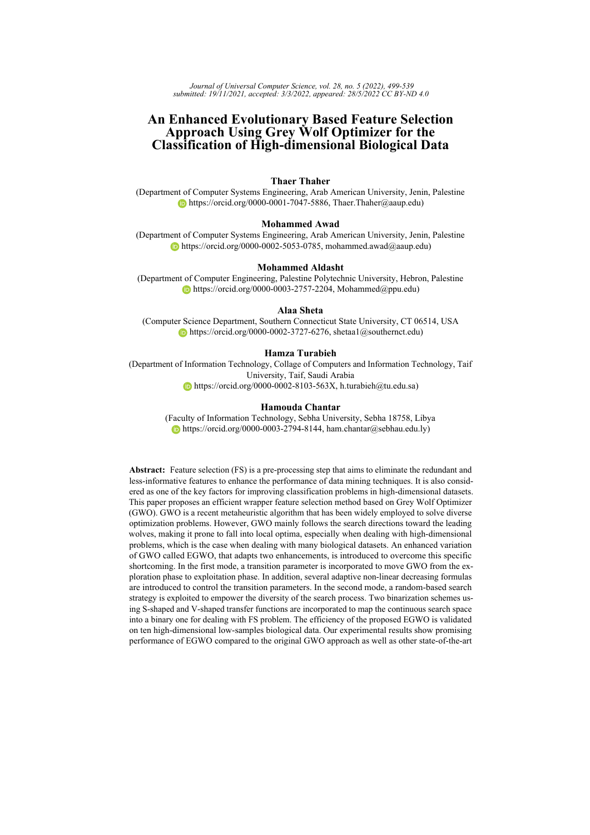<span id="page-8-0"></span> $Eq.(2)$  $Eq.(2)$ .

$$
\vec{D} = j\vec{C}.\vec{X}_p(t) \quad \vec{X}(t)j \tag{2}
$$

<span id="page-8-1"></span>where vectors  $\vec{A}$  and  $\vec{C}$  are coefficient vectors that are evaluated based on Eqs. [\(3\)](#page-8-1), and [\(4\)](#page-8-2), respectively. jj denotes the absolute value, and is an element-by-element multiplication. It is worth mentioning here that the dimension of vectors is equal to the number of variables (features) of the problem being solved.

$$
\vec{A} = 2\vec{a} \quad \vec{r}_1 \quad \vec{a} \tag{3}
$$

$$
\vec{C} = 2 \vec{r}_2 \tag{4}
$$

<span id="page-8-3"></span><span id="page-8-2"></span>where  $\vec{r_1}$ ,  $\vec{r_2}$  refer to a random vectors whose elements are within [0,1], the variable  $\vec{a}$  is the main control parameter, its components are decreased in a linear manner from 2 to 0 over the course of iterations as given by Eq. [\(5\)](#page-8-3),

$$
\vec{a} = 2 \quad (1 \quad \frac{t}{T}) \tag{5}
$$

where  $t$  refers to the current iteration and  $T$  refers to the total number of iterations.

To simplify the effects of Eqs. [\(1\)](#page-7-2) and [\(2\)](#page-8-0), figure [2](#page-9-0) depicts the encircling process in a two-dimensional search space. In simple, each wolf updates its position  $(X, Y)$  randomly based on the position of the prey  $(X', Y')$ ; where both vectors  $\vec{A}$  and  $\vec{C}$  are tuned to allow reach different places around the best solution. For instance, the position  $(X^{\prime})$  $X, Y^{'}$ can be reached by setting  $\vec{C} = (1, 1)$  and  $\vec{A} = (1, 0)$ . It is worth mentioning here that the random vectors  $r_1$  and  $r_2$  are employed for the stochastic purpose (i.e., to allow reach any random location between the points shown in figure [2\)](#page-9-0). The same idea can be generalized to a search space with  $n$  dimensions.

After the encircling phase, the hunting process starts. Due to insufficient information on the optimal solution for most real-world problems, it is supposed that the best solution obtained so far represents the prey. The hunting process is mathematically simulated based on the fittest three solutions  $\alpha$ ,  $\beta$ , and  $\gamma$ , which are assumed to have better knowledge of the potential prey location. In specific, the best three candidate solutions obtained so far will guide the other search agents during the optimization process. The updating process is achieved based on the following formulas:

$$
\vec{D}_{\alpha} = j\vec{C}_1.\vec{X}_{\alpha}(t) \quad \vec{X}(t)j \tag{6}
$$

$$
\vec{D}_{\beta} = j\vec{C}_2 . \vec{X}_{\beta}(t) \quad \vec{X}(t)j \tag{7}
$$

$$
\vec{D}_{\delta} = j\vec{C}_3 \cdot \vec{X}_{\delta}(t) \quad \vec{X}(t)j \tag{8}
$$

$$
\vec{X}_1(t+1) = j\vec{X}_{\alpha}(t) \quad \vec{A}_1.\vec{D}_{\alpha j} \tag{9}
$$

$$
\vec{X}_2(t+1) = j\vec{X}_\beta(t) \quad \vec{A}_2 \cdot \vec{D}_\beta j \tag{10}
$$

$$
\vec{X}_3(t+1) = j\vec{X}_\delta(t) \quad \vec{A}_3.\vec{D}_\delta j \tag{11}
$$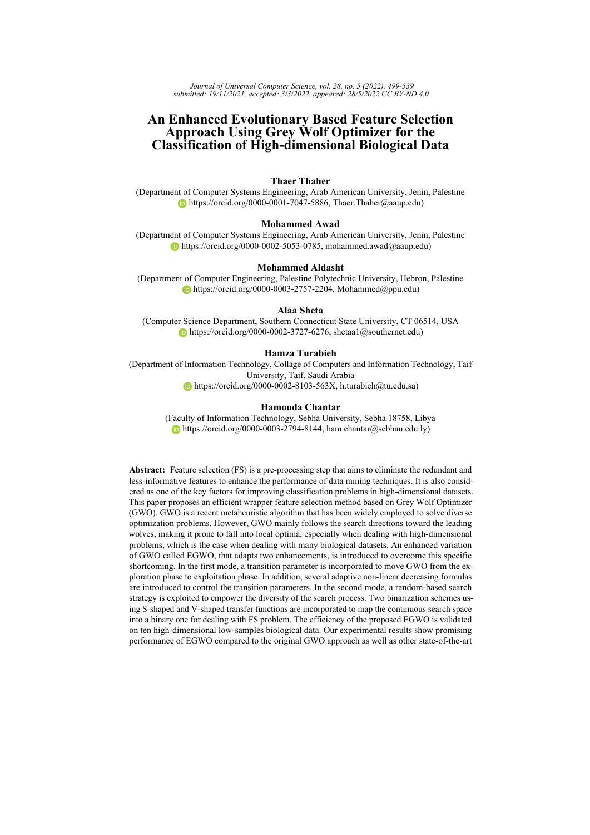<span id="page-9-0"></span>

*Figure 2: The encircling process of GWO in 2D space*

$$
\vec{X}(t+1) = \frac{\vec{X}_1(t) + \vec{X}_2(t) + \vec{X}_3(t)}{3}
$$
\n(12)

<span id="page-9-1"></span>where the vectors  $\vec{X}_{\alpha}(t)$  ,  $\vec{X}_{\beta}(t)$  ,  $\vec{X}_{\delta}(t)$  represent the best locations of all types of wolves in the current iteration t.  $\vec{C}_1$  ,  $\vec{C}_2$  , and  $\vec{C}_3$  are evaluated based on Eq.[\(4\)](#page-8-2),  $\vec{X}(t)$  represents the location of the present solution, and  $\vec{D}_{\alpha}$ ,  $\vec{D}_{\beta}$ ,  $\vec{D}_{\delta}$  are the distances between the current solution and the best three solutions, respectively. The three vectors  $\vec{A}_1$ ,  $\vec{A}_2$ ,  $\vec{A}_3$ are calculated as in equation [\(3\)](#page-8-1). Figure [\(3\)](#page-10-1) demonstrates the potential next position of a search agent in a 2D search space. It can be noticed that that the next position would be in a random place within a circle defined by the positions of  $\alpha$ ,  $\beta$ , and  $\gamma$ . In alternative words, the position of the prey is estimated by  $\alpha$ ,  $\beta$ , and  $\gamma$ . While the other wolves modify their positions randomly around the prey.

GWO is a global search algorithm; the proposed mathematical operators adjust the ability of exploration and exploitation. In this regard, the main parameter  $(a)$  decreases linearly from 2 to 0 throughout iterations. Accordingly, the coefficient A fluctuates dynamically inside [-a, a] as defined in Eq. [\(3\)](#page-8-1). The exploration process is achieved when  $|A| = 1$ , and the exploitation process will be achieved when  $|A| < 1$ . That is to say, when random values of  $A$  are inside  $[-1, 1]$ , the new position of a search agent can be in any position between its original position and the estimated position of the prey. In contrast, with  $\overline{A}$  | 1, the new position can fall outside the circle defined by  $\alpha$ ,  $\beta$ , and  $\gamma$  (see Figure [\(3\)](#page-10-1). Algorithm [\(1\)](#page-11-0) presents the Pseudo code of the GWO.

It can be noted that  $A$  and  $C$  are the main factors that control the exploration and detection tendency of GWO. Therefore, providing improvements to these parameters and introducing more exploration operators will effectively contribute to solving the problem of stagnation in local solutions, especially when dealing with high-dimensional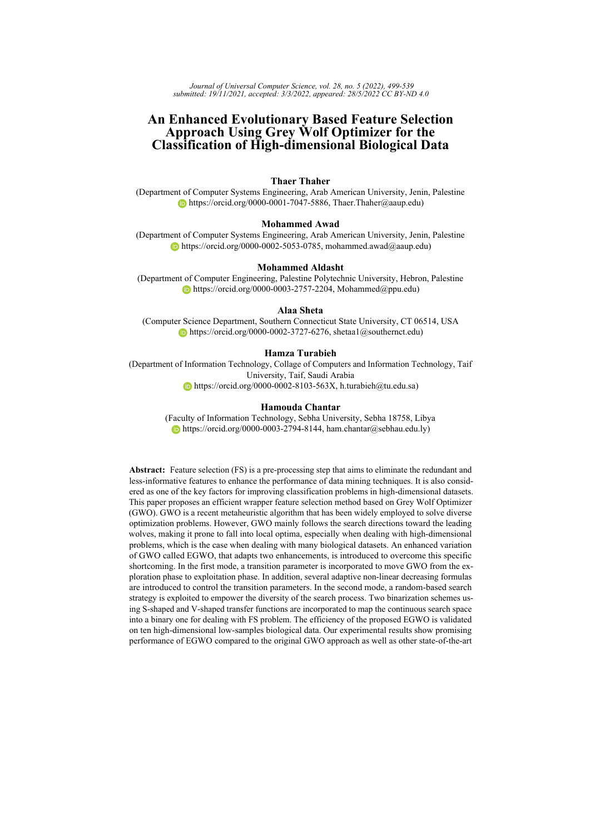<span id="page-10-1"></span>

*Figure 3: Position updating mechanism for each search agent in GWO*

<span id="page-10-0"></span>classification tasks [\[Mirjalili et al., 2014,](#page-39-6) [Chen et al., 2021\]](#page-36-14).

# **4 The Proposed Methods**

### **4.1 Enhanced Grey Wolf Optimizer**

The classical GWO has several merits. It is simple to implement, has fewer parameters to be tuned, and employs social hierarchy behavior. However, the major drawback of GWO is premature convergence. The algorithm lacks the required diversity during the optimization process and can easily be stuck into local optima. Therefore, several modifications have been introduced in the literature to improve the exploratory potential. In GWO, a parameter called  $(a)$  controls the balance between exploration and exploitation. This parameter is adaptively decreased over the iterations to provide more exploration at the early stage of the search process while providing more exploitation at the last stage.

In this study, we present an improved version of GWO intending to enhance the exploration feature. The pseudo-code of the enhanced GWO is shown in Algorithm [2.](#page-15-0) The proposed version depends on two enhancement schemes as follows:

### **4.1.1 Transition Control Parameter**

We have introduced the transition control parameter concept inspired by WOA [\[Mirjalili](#page-39-14)] [and Lewis, 2016\]](#page-39-14), and HHO [\[Heidari et al., 2019\]](#page-37-15) algorithms. The idea is based on dividing the search process into two phases: exploration and exploitation. We exploit the transition parameter that already exists in GWO for the transition between these two phases smoothly. In the original GWO, a is reduced linearly from 2 to 0. The variation range of A is also reduced by a. Therefore, A is a random variable in the interval  $[-2a,$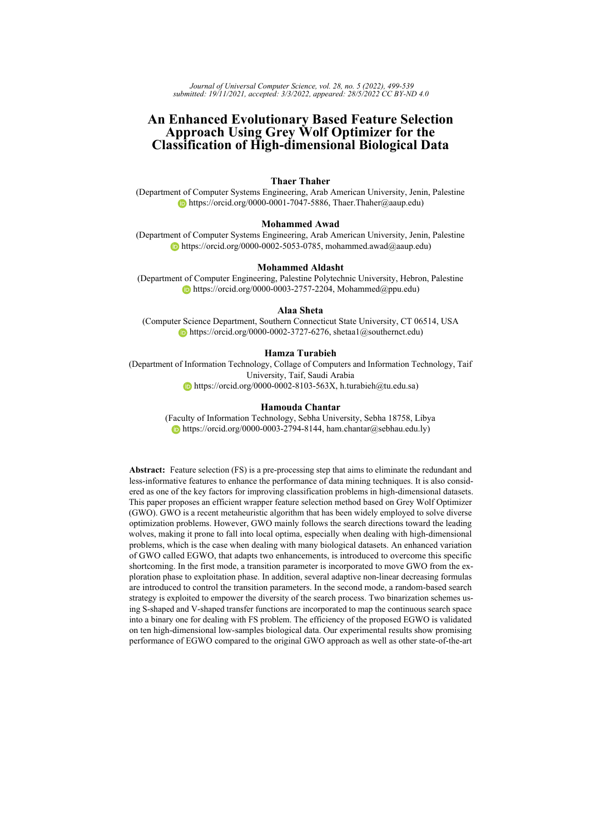## <span id="page-11-0"></span>**Algorithm 1** Pseudo code of the standard GWO

- 1: Set the initial parameters: population size  $(N)$ , maximum iterations  $(T)$
- 2: Generate the initial grey wolf population  $X_i(i = 1, 2, \ldots, n)$
- 3: Assess the fitness of each search agent
- 4: Identify the best three search agents based on their fitness
- 5:  $X_{\alpha}$  = the fittest search agent
- 6:  $X_\beta$  = the second fittest search agent
- 7:  $X_{\delta}$  = the third fittest search agent
- 8: **while**  $(t < T)$  **do**
- 9: **for** each search agent **do**
- 10: Update the coefficients  $a, A$ , and  $C$
- 11: Use Eq. [\(12\)](#page-9-1) to re-position (update) the current search agent
- 12: **end for**
- 13: Evaluate the fitness of new population
- 14: Update the best three solutions  $X_{\alpha}$ ,  $X_{\beta}$  and  $X_{\delta}$
- 15:  $t = t + 1$
- 16: **end while**
- 17: **return** the best solution  $X_{\alpha}$

<span id="page-11-1"></span>2a]. The parameter  $a$  is decreased from 2 to 0 to emphasize exploration and exploitation, respectively. Therefore, we introduce a transition parameter  $(tp)$  used to control the transition between exploration and exploitation potentials as in eq. [\(13\)](#page-11-1).

$$
\vec{tp} = 2\vec{a} \cdot \vec{r} \quad \vec{a} \tag{13}
$$

$$
a = 2 \quad (2. \frac{t}{T}) \tag{14}
$$

<span id="page-11-4"></span>Based on the variation of the  $tp$  vector, we update the position of a search agent according to a randomly chosen search agent instead of the best three agents found so far (exploration phase). This mechanism  $|tp| > 1$  emphasizes exploration and allows the GWO algorithm to perform a global search. In the exploitation phase  $(|tp|<1)$ , we used the original operators of GWO.

#### **4.1.2 Exploration Phase**

<span id="page-11-2"></span>In this phase, search agents are guided by a randomly selected solution to emphasize searching more areas in the large search space. Eqs.[\(15\)](#page-11-2) and [\(16\)](#page-11-3) shows the exploration process of EGWO.

$$
\vec{D} = j\vec{C} \cdot \vec{X}_{rand} \quad \vec{X}j \tag{15}
$$

$$
\vec{X}_{(t+1)} = \vec{X}_{rand} \quad \vec{tp}.\vec{D} \tag{16}
$$

<span id="page-11-3"></span>where  $\vec{X}_{rand}$  is a randomly selection search agent.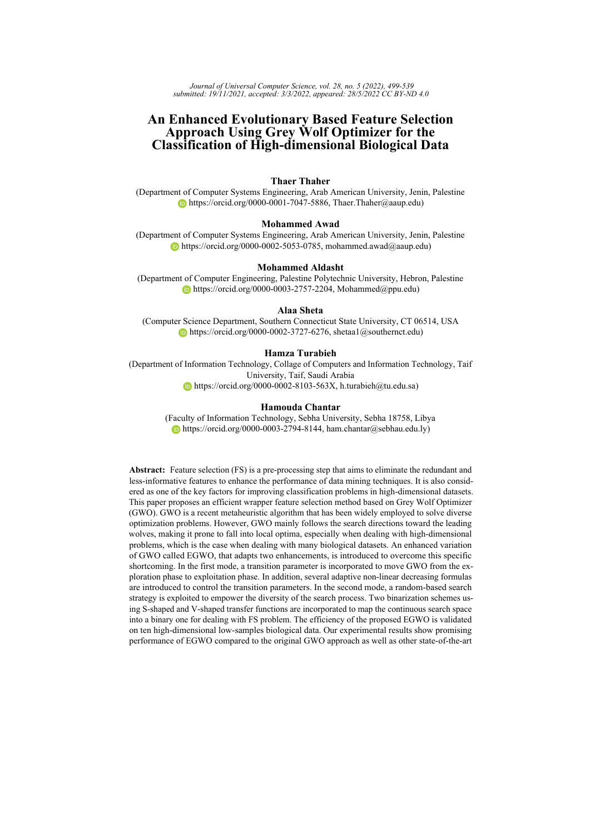#### **4.1.3 Different Decreasing Shapes of Convergence Parameter (**a**)**

In the original GWO,  $a$  is reduced linearly from 2 to 0. Other updating rules (nonlinear, logarithmic) are utilized to emphasize the required diversity for high-dimensional FS problems to increase the probability of discovering more promising regions. Accordingly, four decreasing shapes of  $\alpha$  were utilized. The decreasing formulas and the corresponding variants of EGWO are presented below, while decreasing patterns of  $a$  and  $tp$  are shown in Figures [4](#page-13-0) and [5.](#page-14-0) In addition to the original GWO algorithm, we have five enhanced variants, where each one has a special decreasing strategy applied to the parameter  $a$ , as follows:

- **–** EGWO: the enhanced variant using exploration and exploitation phases where a decreases linearly, according to the formula in Eq. [\(14\)](#page-11-4).
- **–** EGWO1: the enhanced variant using decreasing strategy 1, according to the formula:

$$
a = 2 \quad \left(\frac{2t^{1/3}}{T^{1/3}}\right) \tag{17}
$$

**–** EGWO2: the enhanced variant using decreasing strategy 2, according to the formula:

$$
a = 2 \quad \left(\frac{2 \quad \log(t+1)}{\log(T)}\right) \tag{18}
$$

**–** EGWO3: the enhanced variant using decreasing strategy 3, according to the formula:

$$
a = 2 \quad e^{(\frac{4t}{T})^2} \tag{19}
$$

**–** EGWO4: the enhanced variant using decreasing strategy 4, according to the formula:

$$
a = \left(\frac{2 - t^3}{T^3}\right) + 2\tag{20}
$$

where  $t$  is the current iteration, and  $T$  is the maximum number of iterations.

#### **4.2 Binary GWO for Feature Selection**

GWO, as most metaheuristic methods, are designed to tackle problems in continuous search space. Accordingly, a binarization scheme is usually employed to adapt real-valued metaheuristics to match the discrete search space of the FS problem. For this purpose, two main techniques have been introduced in the literature. In the first technique called (continuous-binary operator), the original real-values operators are reformulated into binary operators. Whereas in the second technique, which is called two-step binarization, the original real operators are not redefined [\[Crawford et al., 2017\]](#page-36-15). To conduct the binarization, fuzzy Transfer Functions (TFs) are first employed to convert the real values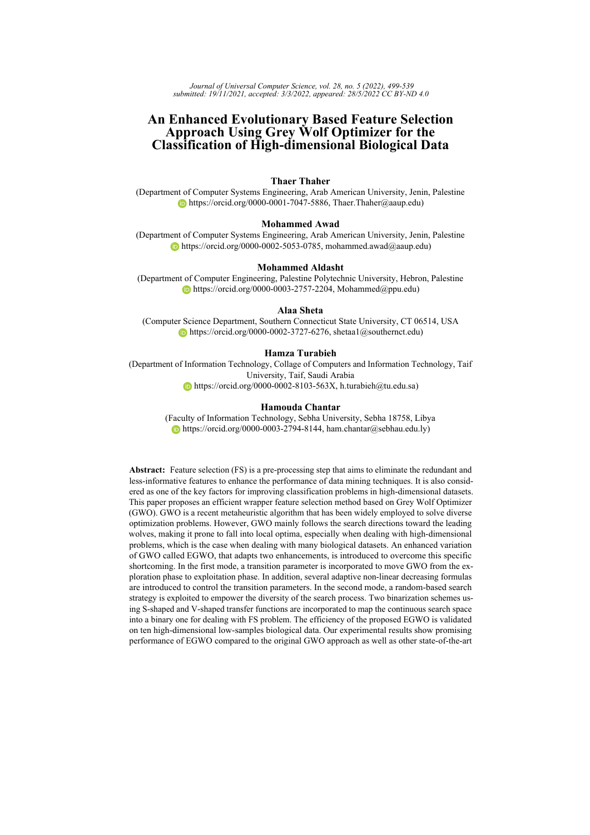<span id="page-13-0"></span>

*Figure 4: Shapes of convergence parameter* a *using different decreasing formulas*

into intermediate probability values within [0,1]. Therefore, each element in the real solution is given a probability of being 0 or 1. In the second step, the outcomes of TFs are stochastically threshold using a specific rule to find the binary output. In common, the two-step binarization technique is the most popular method, which revealed success performance in different domains [\[Thaher et al., 2020a,](#page-40-14) [Thaher et al., 2021a\]](#page-40-15).

TFs are defined based on their shapes into two families: V-shaped and S-shaped [\[Mirjalili and Lewis, 2013\]](#page-39-15) (see Figure [6\)](#page-15-1). The literature reveals that two binary versions of the GWO were proposed by Zawbaa *et al.*[\[Zawbaa et al., 2016\]](#page-40-16) for FS problem. In the first approach (called bGWO1), individual steps toward the best three leaders are binarized, and then stochastic crossover is performed among the three basic moves to find the updated binary gray wolf position (see [\[Zawbaa et al., 2016\]](#page-40-16) for equations). In the second approach (called bGWO2), the S-shaped function was utilized to squash the continuously updated position, then stochastically threshold these values to find the updated binary gray wolf position. In both strategies, a sigmoid function as in Eq. [\(21\)](#page-13-1) was utilized. In this work, we have employed the two proposed methods using S2 and V2 TFs. Therefore, four variants named: SBGWO1, VBGWO1, SBGWO2, VBGWO2 were introduced. Note that BGWO1, BGWO2 refer to the first and second approaches, respectively. Mathematical formulas of S2 TF with standard binarization rule are shown in Eqs [\(21\)](#page-13-1) and [\(22\)](#page-13-2). While Mathematical formulas of V2 TF with complement binarization rule are shown in Eqs [\(23\)](#page-16-0) and [\(24\)](#page-16-1).

$$
T(X_j(t)) = \frac{1}{1 + e^{-x_j(t)}}\tag{21}
$$

<span id="page-13-2"></span><span id="page-13-1"></span>
$$
X_j(t+1) = \begin{cases} 1 \ r < T(X_j(t)) \\ 0 & Otherwise \end{cases} \tag{22}
$$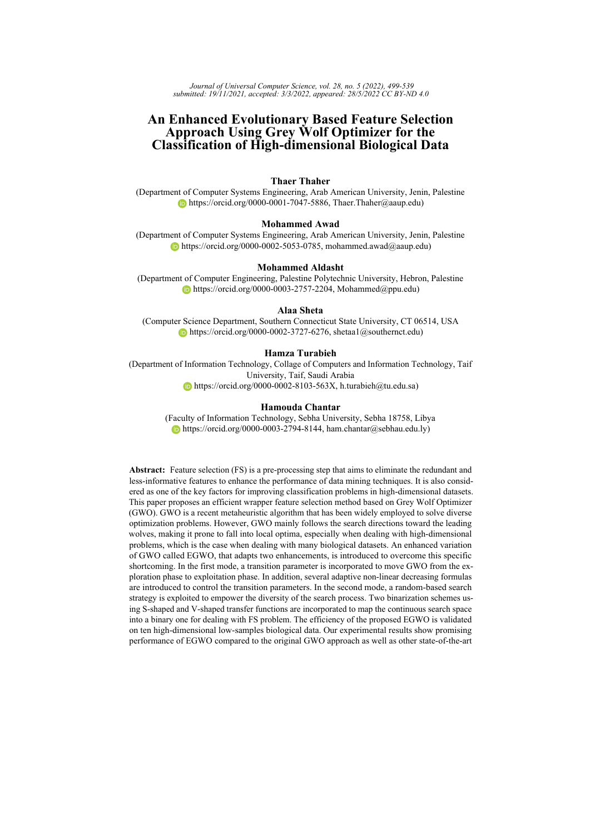<span id="page-14-0"></span>

*Figure 5: Behavior of* tp *during 100 iterations for the standard GWO and the proposed variants*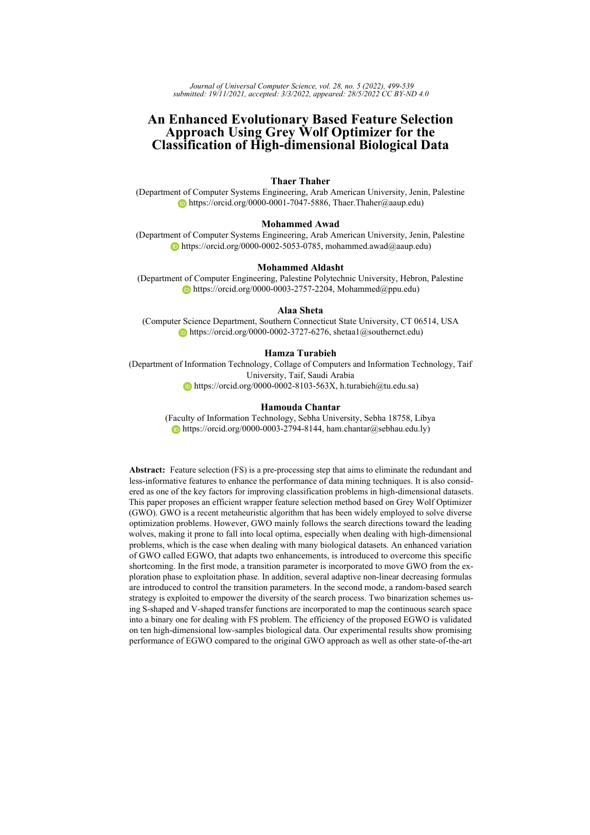<span id="page-15-0"></span>**Algorithm 2** Pseudocode of the Enhanced GWO

|     | 1: Set the initial parameters: population size $(N)$ , maximum iterations $(T)$ |
|-----|---------------------------------------------------------------------------------|
|     | 2: Generate the population $X_i (i = 1, 2, \ldots, n)$                          |
|     | 3: Assess the fitness of each search agents.                                    |
|     | 4: Identify the best three agents based on their fitness.                       |
|     | 5: $X_{\alpha}$ = the fittest search agent                                      |
|     | 6: $X_{\beta}$ = the second fittest search agent                                |
|     | 7: $X_{\delta}$ = the third fittest search agent                                |
|     | 8: while $(t < T)$ do                                                           |
| 9:  | for each search agent do                                                        |
| 10: | Update convergence parameter $tp$ using Eq. (13)                                |
| 11: | <b>if</b> $(jtp/>=1)$ then<br>$\triangleright$ Exploration phase                |
| 12: | Update the position of the current search agent using Eq. (16)                  |
| 13: | else if $(jcp \leq 1)$ then<br>$\triangleright$ Exploitation phase              |
| 14: | Update the position of the current search agent by Eq. $(12)$                   |
| 15: | end if                                                                          |
| 16: | end for                                                                         |
| 17: | end for                                                                         |
| 18: | Update convergence parameter $a$ using a selected formula.                      |
| 19: | update $A$ , and $C$                                                            |
| 20: | Evaluate the fitness of new population                                          |
| 21: | Update the best three solutions $X_{\alpha}$ , $X_{\beta}$ and $X_{\delta}$     |
| 22: | $t=t+1$                                                                         |
|     | 23: end while                                                                   |
|     | 24: end while                                                                   |
|     | 25: return $X_{\alpha}$                                                         |
|     |                                                                                 |

<span id="page-15-1"></span>

*Figure 6: S-shaped and V-shaped TFs*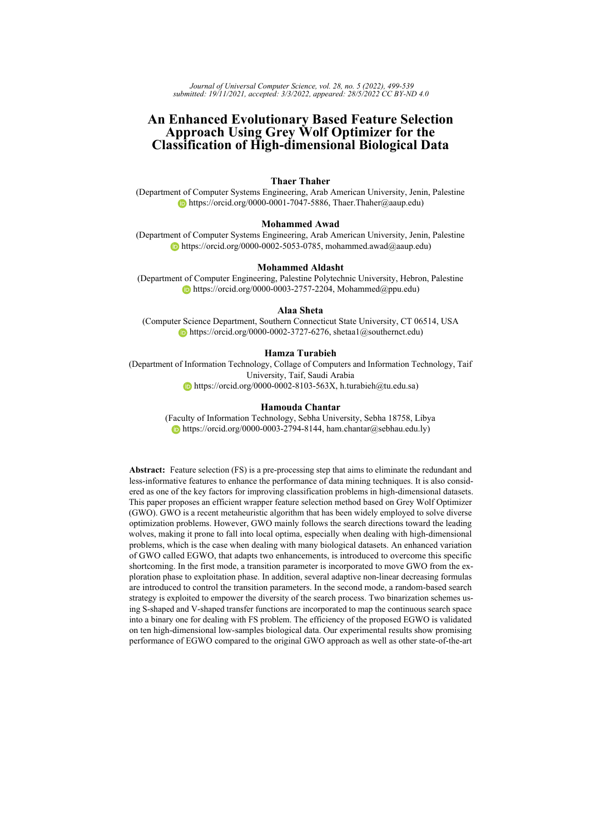<span id="page-16-0"></span>where t represents the current iteration,  $X_j$  is the real value of the  $j<sup>th</sup>$  element,  $T(X_j)$  is the probability that  $X_i$  will be 1 or 0, and r is a random value inside [0,1].

$$
T(X_j(t)) = j \tanh(X_j(t))j \tag{23}
$$

$$
X_j(t+1) = \begin{cases} \sim b_j \ r < T(X_j(t)) \\ b_j & \text{Otherwise} \end{cases} \tag{24}
$$

<span id="page-16-1"></span>where  $\sim$  is the complement,  $b_j$  is the current binary value for the  $j^{th}$  element. With the complement binarization rule, the new binary value  $(X_j(t + 1)$  is set based on the benefits of the current binary solution, that is to say, based on the probability value  $(T(X_j(t))$ , the  $j<sup>th</sup>$  element is either kept or flipped.

#### **4.3 Formulation of Feature Selection Using BGWO**

Adapting optimization algorithms to deal with any optimization problem requires identifying two main components: evaluation (fitness) function and solution representation. The main objective of the FS task is to find the minimal features subset that aids in achieving the maximum classification accuracy. Therefore, FS is recognized as a challenging multi-objective optimization problem. Aggregation is one of the most popular techniques for multi-objective formulation. It is a prior method in which multiple objectives are combined into a single objective such each objective is given a weight to define its importance [\[Mirjalili and Dong, 2020\]](#page-39-16). Accordingly, the two objectives of FS are combined as shownin [25](#page-16-2) to evaluate the suitability of the features subset.

$$
\# Fitness(X) = \alpha \quad (1 \quad \gamma(X)) + \beta \quad \frac{R}{D} \tag{25}
$$

<span id="page-16-2"></span>where  $Fitness(X)$  represents the fitness value of a subset  $X, \gamma(X)$  denotes the classification accuracy by filtering out the unselected features in the X subset,  $R$  and  $D$ are the number of selected features and the number of original features in the dataset respectively,  $\alpha$  and  $\beta$  are the weights of the classification accuracy and the reduction ratio,  $\alpha$  2 [0, 1] and  $\beta$  = (1  $\alpha$ ) adopted from [\[Emary and Zawbaa, 2016,](#page-37-7) [Mafarja](#page-38-16) [et al., 2017,](#page-38-16) [Faris et al., 2018b,](#page-37-16) [Thaher et al., 2021b\]](#page-40-9).

Solution representation for the problem being solved is the other main design aspect that should be properly determined. FS is considered a binary optimization problem in which the candidate solution (i.e., a subset of features) is encoded as a binary vector. Each element in that vector has two values: (0) indicates that the corresponding feature is not selected, and (1) indicates that the corresponding feature is selected. Fig. [7](#page-16-3) depicts a sample solution for a dataset of  $D$  features.

<span id="page-16-3"></span>

*Figure 7: Binary solution representation*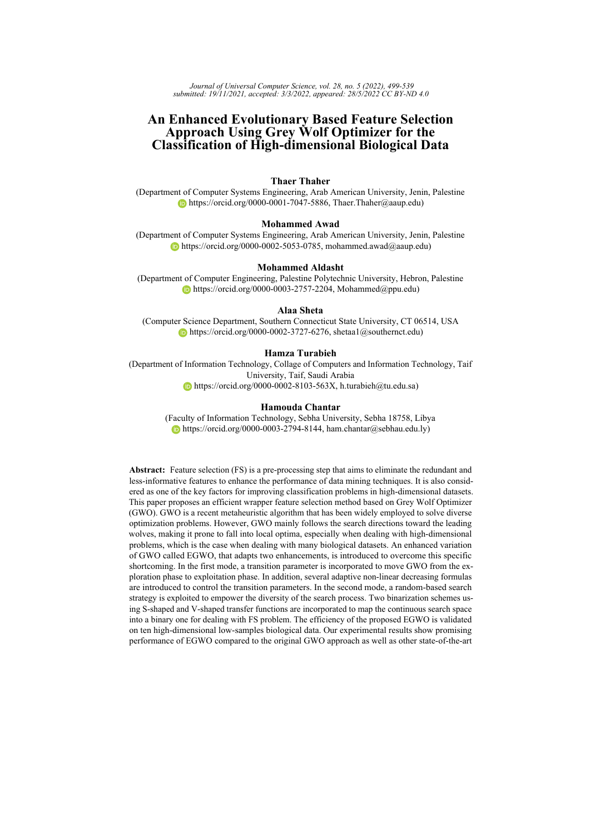## <span id="page-17-0"></span>**5 Experiments and Discussion**

This part introduces the experimental work carried out to test the performance of the proposed algorithm. It is divided into four parts. Section [5.1](#page-17-1) presents the experimental setup. Section [5.3](#page-19-0) provides the implementation of basic GWO with different binarization schemes. After selecting the suitable binary variant, we investigate the performance of the proposed approaches in Section [5.4.](#page-20-0) Section [5.5](#page-25-0) is dedicated to providing a comparison between the enhanced GWO and six state-of-the-art algorithms.

## <span id="page-17-1"></span>**5.1 Experimental Environment Setup**

For the sake of fair comparisons, all experiments were performed under the same environment utilizing a system with Intel(R) Core(TM) i7-8550U CPU  $@$  1.8GHz (8 CPUs) and 8 GB RAM. Al algorithms were implemented in MATLAB R2018a. Due to the non-deterministic behavior of metaheuristic algorithms, each algorithm is executed 20 times, and the results are reported in terms of average (Avg) and standard deviation (Std). The best-reported results are highlighted in **boldface**. Moreover, the non-parametric Friedman test (F-test) [\[Riffenburgh, 2006\]](#page-39-17) was utilized to calculate the overall rank of each tested algorithm. The detailed settings of all algorithms including common and internal parameters are listed in Table [2.](#page-18-0) Values of parameters were selected based on trials and errors on small simulations as well as recommended settings in the literature.

The performance of the proposed wrapper methods was evaluated on ten biological benchmark datasets obtained from [\[Li et al., 2018\]](#page-38-17).The main characteristics of these datasets, including the number of features, number of records, and number of classes, are provided in Table [3.](#page-18-1) for reliable performance estimation of machine learning (ML) algorithms, we applied the k-folds cross-validation(CV) procedure  $(k=5)$ . It is a resampling procedure used to assess the performance of ML algorithms. This method is recommended when the data is limited, as in the used biological data where the number of samples ranges between 50-203 (see Table [3\)](#page-18-1). Moreover, CV yields less optimistic (or less biased) results compared to the simple hold-out method [\[Hastie et al., 2009,](#page-37-17) [James](#page-38-18) [et al., 2013,](#page-38-18) [Tumar et al., 2020\]](#page-40-10). In this work, the data sample is partitioned randomly into five folds; four folds (80%) are used to train the model, while the remaining fold (20%) is used to validate the model. This procedure is repeated five times, thus ensures that each sample has the chance of being appeared in the training and testing set. Finally, the recorded scores are averaged to represent the performance metric of the model.

To judge the performance of the proposed wrapper-based FS methods, three evaluation measures were used: classification accuracy, number of selected features, fitness values, and running time.

## **5.2 Evaluation of Classification Methods**

It is well-known that the involved classification algorithm highly influences the performance of wrapper FS methods. Besides, each classifier is sensitive to its specific parameters. Accordingly, extensive experiments were conducted to select a suitable classifier to evaluate the proposed searching algorithm. For this purpose, we exploited two well-known classifiers: K-Nearest Neighbors (KNN) and Decision Tree (DT), which are commonly utilized in the literature for FS problems [\[Tumar et al., 2020,](#page-40-10) [Hassouneh](#page-37-3) [et al., 2021,](#page-37-3) [Mafarja and Mirjalili, 2017\]](#page-39-3). KNN was tested with different K values, while DT was tested with a different maximum number of splits (MS).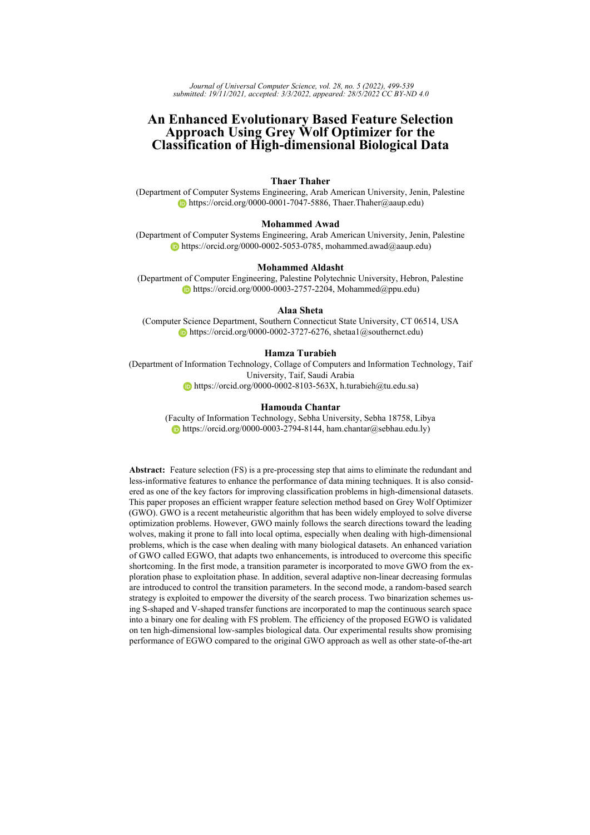<span id="page-18-0"></span>

|                            | <b>Common parameters</b>          |                             |  |  |  |  |  |  |
|----------------------------|-----------------------------------|-----------------------------|--|--|--|--|--|--|
| population size            | 10                                |                             |  |  |  |  |  |  |
| Number of iterations       | 100                               |                             |  |  |  |  |  |  |
| Number of runs             |                                   | 20                          |  |  |  |  |  |  |
| Dimension                  |                                   | #features                   |  |  |  |  |  |  |
|                            | K for cross validation            | 5                           |  |  |  |  |  |  |
| Fitness function           |                                   | $\alpha$ =0.9, $\beta$ =0.1 |  |  |  |  |  |  |
| <b>Internal parameters</b> |                                   |                             |  |  |  |  |  |  |
|                            | Algorithm parameter               |                             |  |  |  |  |  |  |
| <b>BHHO</b>                | Convergence constant E            | $\left[2\ 0\right]$         |  |  |  |  |  |  |
| <b>BWOA</b>                | convergence constant a            | [20]                        |  |  |  |  |  |  |
|                            | Spiral factor b                   | 1                           |  |  |  |  |  |  |
| <b>BBA</b>                 | Qmin, Qmax                        | 0, 2                        |  |  |  |  |  |  |
|                            | loudness A                        | 0.5                         |  |  |  |  |  |  |
|                            | Pulse rate r                      | 0.5                         |  |  |  |  |  |  |
| <b>BGWO</b>                | convergence constant a            | $\left[2\ 0\right]$         |  |  |  |  |  |  |
| <b>BPSO</b>                | Inertai weight w                  | [0.9 0.2]                   |  |  |  |  |  |  |
|                            | cognitive constant c1             | 2                           |  |  |  |  |  |  |
|                            | social constant c2                | $\mathfrak{D}$              |  |  |  |  |  |  |
| <b>BGSA</b>                | initial gravitational constant G0 | 10                          |  |  |  |  |  |  |
|                            | Rpower                            | 1                           |  |  |  |  |  |  |
|                            | Alpha                             | 20                          |  |  |  |  |  |  |
| BALO                       | W                                 | [2,6]                       |  |  |  |  |  |  |

*Table 2: Common and internal settings of tested algorithms*

<span id="page-18-1"></span>

| Dataset               | No. of features | No. of instances | No. of classes              |
|-----------------------|-----------------|------------------|-----------------------------|
| ALLAML R              | 7129            | 72               | $\overline{2}$              |
| CLL SUB 111 R         | 11340           | 111              | 3                           |
| colon R               | 2000            | 62               | $\overline{2}$              |
| <b>GLI 85 R</b>       | 22283           | 85               | $\mathcal{D}_{\mathcal{A}}$ |
| <b>GLIOMA R</b>       | 4434            | 50               | 4                           |
| lung discrete R       | 325             | 73               | 7                           |
| lung R                | 3312            | 203              | 5                           |
| lymphoma <sub>R</sub> | 4026            | 96               | 9                           |
| Prostate GE R         | 5966            | 102              | $\mathfrak{D}$              |
| SMK CAN 187 R         | 19993           | 187              | っ                           |

*Table 3: List of biological datasets*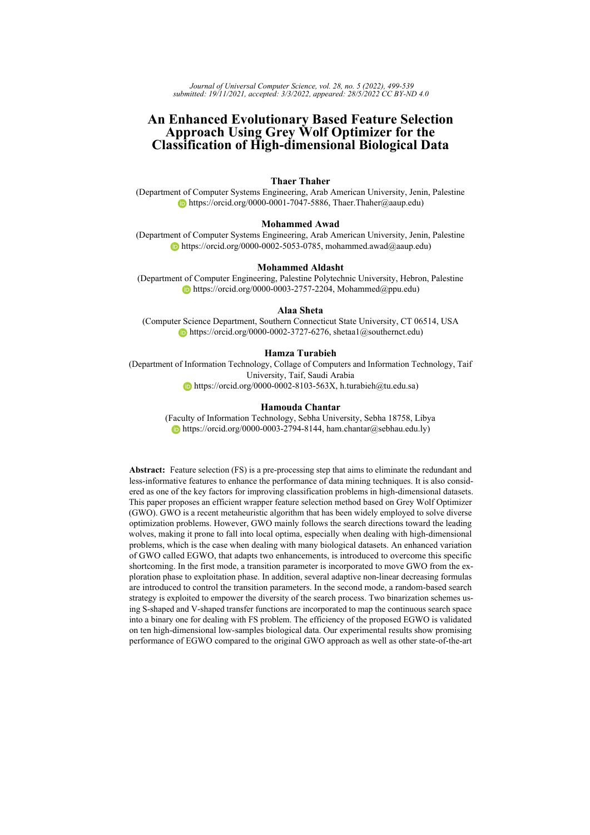<span id="page-19-1"></span>

| Dataset               |        |        | <b>KNN</b> |        |          |          | DT     |        |         |         |         |
|-----------------------|--------|--------|------------|--------|----------|----------|--------|--------|---------|---------|---------|
|                       | $k=3$  | $k=5$  | $k=10$     | $k=20$ | $k = 30$ | $k = 50$ | $MS=3$ | $MS=7$ | $MS=10$ | $MS=20$ | $MS=50$ |
| ALLAML R              | 0.8333 | 0 7917 | 0.7500     | 0.6806 | 0.6528   | 0.6528   | 0.8750 | 0.8750 | 0.8750  | 0.8750  | 0.8750  |
| CLL SUB 111 R         | 0.5045 | 0.4775 | 0.5315     | 0.4685 | 0.3874   | 0.3423   | 0.7027 | 0.6036 | 0.6036  | 0.6036  | 0.6036  |
| colon R               | 0.7258 | 0.7581 | 0.7097     | 0.6613 | 0.6452   | 0.6452   | 0.7097 | 0.7419 | 0.7419  | 0.7419  | 0.7419  |
| GLI 85 R              | 0.7765 | 0.8235 | 0.8824     | 0.8353 | 0.7294   | 0.6941   | 0.8000 | 0.8000 | 0.8000  | 0.8000  | 0.8000  |
| <b>GLIOMA R</b>       | 0.7800 | 0.8200 | 0.7600     | 0.5000 | 0.5000   | 0.2600   | 0.7000 | 0.6800 | 0.6800  | 0.6800  | 0.6800  |
| lung discrete R       | 0.8767 | 0.8356 | 0.7945     | 0.5890 | 0.5343   | 0.4658   | 0.5480 | 0.6301 | 0.6164  | 0.6164  | 0.6164  |
| lung R                | 0.9507 | 0.9606 | 0.9310     | 0.9212 | 0.7833   | 0.6847   | 0.8030 | 0.8227 | 0.8227  | 0.8227  | 0.8227  |
| lymphoma <sub>R</sub> | 0.9375 | 0.9167 | 0.8229     | 0.7188 | 0.5833   | 0.4792   | 0.5833 | 0.6042 | 0.6042  | 0.6042  | 0.6042  |
| Prostate GE R         | 0.7941 | 0.8333 | 0.8235     | 0.7549 | 0.7549   | 0.6373   | 0.8333 | 0.8137 | 0.8137  | 0.8137  | 0.8137  |
| SMK CAN 187 R         | 0.6471 | 0.6791 | 0.6631     | 0.6952 | 0.6898   | 0.6471   | 0.5989 | 0.5401 | 0.5615  | 0.5615  | 0.5615  |
| Rank (F-test)         | 4.75   | 2.95   | 4.15       | 6.50   | 9.15     | 10.35    | 5.75   | 5.60   | 5.60    | 5.60    | 5.60    |

*Table 4: Performance of KNN and DT on the original datasets in terms of accuracy measure*

Table [4](#page-19-1) reports the accuracy rates scored by KNN and DT on the original biological data (i.e., with all features). Inspecting the results, KNN  $(k=5)$  achieved better performance in most cases with the best overall rank of 2.95. The reported results confirm the sensitivity of KNN and DT to their parameter settings. Based on the results obtained, the KNN classifier is utilized to evaluate the generated subset of features in the wrapper FS approach.

## <span id="page-19-0"></span>**5.3 Evaluation of BGWO Using Different Binarization Schemes**

The literature reveals that the adopted binarization scheme significantly affects the performance of the binary GWO (BGWO) in dealing with the FS problem. In this subsection, different binarization strategies were investigated to recognize the top version of the proposed BGWO. For this purpose, the S-shaped-based strategies presented by [\[Zawbaa et al., 2016\]](#page-40-16) were adopted to develop two variants, namely, SBGWO1 and SBGWO2. In addition, we employed V-shaped TF with the proposed strategies to introduce other variants called VBGWO1 and VBGWO2. The description of the four binary variants are summarized as follows:

- **–** SBGWO1 and VBGWO1: Individual steps toward the best three leaders are binarized using S-shaped (SBGWO1) and V-shaped (VBGWO1) TFs, respectively. Then stochastic crossover is performed among the three basic moves to find the updated binary gray wolf position [\[Zawbaa et al., 2016\]](#page-40-16).
- **–** SBGWO2 and VBGWO2: The S-shaped in SBGWO2 and V-shaped in VBGWO2 were utilized to squash the continuously updated position, then stochastically threshold these values to find the updated binary gray wolf position.

The comparative results of the developed four variants of BGWO are exposed in Tables [5,](#page-20-1) [6,](#page-23-0) and [7.](#page-24-0)The average accuracy rates in Table [5](#page-20-1) outlines that the combination between the second binarization scheme and V-shaped TF (VBGWO2) is superior in all datasets. It achieved the first rank of 1.00 followed by VBGWO1, SBGWO2, SBGWO1, respectively. Considering the employed binarization schemes, the efficiency of the twostep binarization method (i.e., VBGWO1 and VBGWO2) is evident as they got the first and second ranks, respectively. In this strategy, the original real operators of GWO are not modified. TFs are utilized to map the continuous solution into binary. Moreover, V-shaped TF confirms clear superiority over S-shaped TF.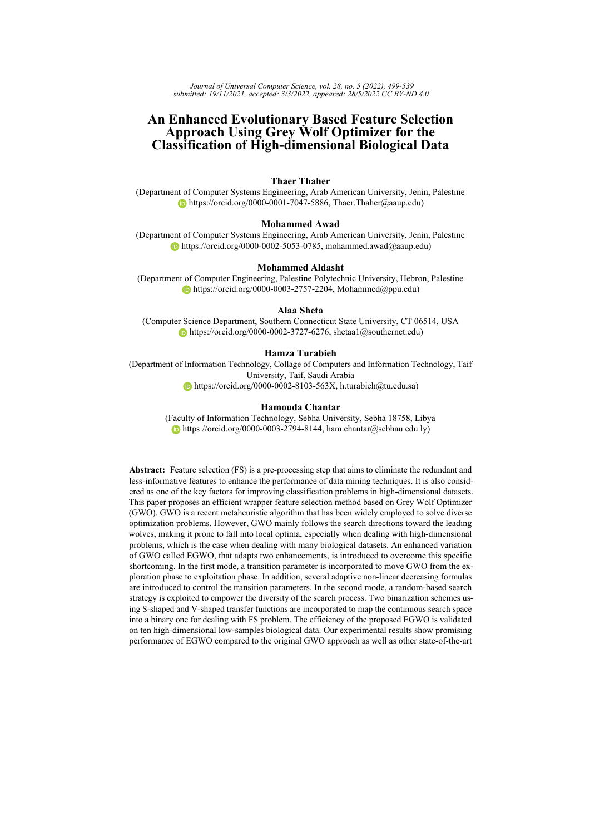<span id="page-20-1"></span>

| Dataset         | Measure | SBGWO1 | VBGWO1 | SBGW02 | VBGWO2 |
|-----------------|---------|--------|--------|--------|--------|
| ALLAML R        | Avg     | 0.8444 | 0.8625 | 0.8660 | 0.9562 |
|                 | Std     | 0.0110 | 0.0079 | 0.0093 | 0.0151 |
| CLL SUB 111 R   | Avg     | 0.5838 | 0.6243 | 0.6117 | 0.6991 |
|                 | Std     | 0.0163 | 0.0121 | 0.0065 | 0.0229 |
| colon R         | Avg     | 0.8823 | 0.9065 | 0.9048 | 0.9210 |
|                 | Std     | 0.0153 | 0.0127 | 0.0050 | 0.0103 |
| GLI 85 R        | Avg     | 0.8682 | 0.8965 | 0.8859 | 0.9400 |
|                 | Std     | 0.0155 | 0.0093 | 0.0077 | 0.0084 |
| <b>GLIOMA R</b> | Avg     | 0.8740 | 0.8800 | 0.8800 | 0.9000 |
|                 | Std     | 0.0097 | 0.0000 | 0.0000 | 0.0000 |
| lung discrete R | Avg     | 0.8630 | 0.8836 | 0.8747 | 0.9158 |
|                 | Std     | 0.0112 | 0.0097 | 0.0080 | 0.0195 |
| lung R          | Avg     | 0.9557 | 0.9606 | 0.9564 | 0.9776 |
|                 | Std     | 0.0040 | 0.0040 | 0.0049 | 0.0030 |
| lymphoma R      | Avg     | 0.9271 | 0.9375 | 0.9339 | 0.9547 |
|                 | Std     | 0.0098 | 0.0000 | 0.0051 | 0.0051 |
| Prostate GE R   | Avg     | 0.8667 | 0.8931 | 0.8917 | 0.9417 |
|                 | Std     | 0.0105 | 0.0086 | 0.0067 | 0.0087 |
| SMK CAN 187 R   | Avg     | 0.6497 | 0.6711 | 0.6674 | 0.7281 |
|                 | Std     | 0.0081 | 0.0068 | 0.0071 | 0.0102 |
| Rank            | F-test  | 4.00   | 2.15   | 2.85   | 1.00   |

*Table 5: Comparison of BGWO using different binarization schemes in terms of accuracy rates*

The resultant average number of selected features in Table [6](#page-23-0) illustrates that the VBGWO2 gives a remarkable ranking over the other proposed binarizations approaches by filtering out a large number of irrelevant features. For Table [7](#page-24-0) of the average fitness values, VBGWO2 also demonstrates its efficiency in providing the best results in all cases. Finally, the convergence behaviors for BGWO variants (SBGWO1, VBGWO1, SBGWO2, and VBGWO2) in dealing with all datasets are demonstrated in Figures [8](#page-21-0) and [9](#page-22-0) . According to curves trends, it is noted that VBGWO2 exhibits a quick and efficient convergence behavior for all datasets. The Other variants show a premature convergence drawback. Thus, V-shaped TF proves satisfactory results by keeping the required diversity during the search process.

<span id="page-20-0"></span>Based on the previous observations, it is recognized that the performance of the twostep binarization scheme combined with V-shaped TF is efficient in terms of the average accuracy, average numbers of features, and convergence trends. In this regard, VBGWO2 is proven to be effective by reducing the number of features and perceiving higher accuracy rates which are the main ain of the FS process. Accordingly, this binarization scheme is considered in all subsequent experiments. For simplicity, the abbreviation BGWO will be used to denote the binary variant of GWO.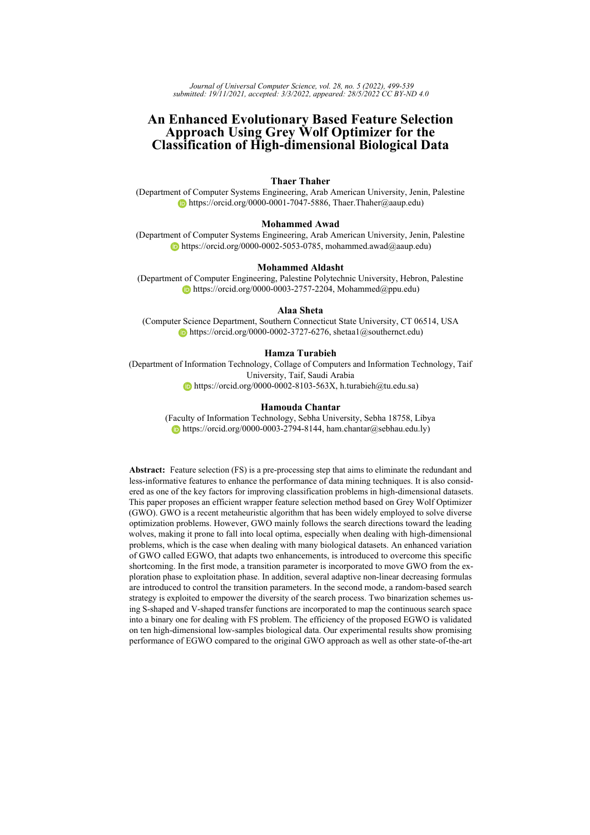<span id="page-21-0"></span>

*Figure 8: Convergence curves of BGWO variants for ALLAML\_R, CLL\_SUB\_111\_R, colon\_R, GLI\_85\_R, and GLIOMA\_R datasets*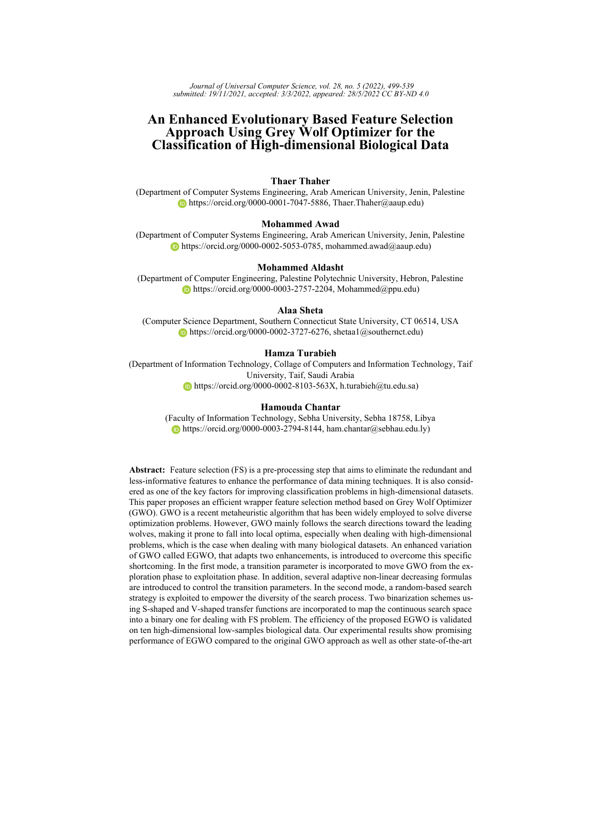<span id="page-22-0"></span>

*Figure 9: Convergence curves of BGWO variants for lung\_discrete\_R, lung\_R, lymphoma\_R, Prostate\_GE\_R, SMK\_CAN\_187\_R datasets*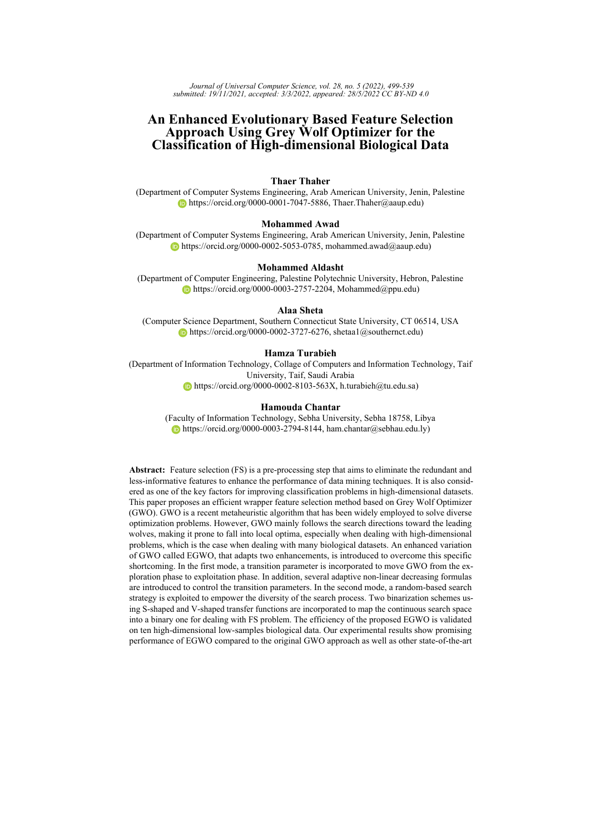<span id="page-23-0"></span>

| Dataset         | Measure | SBGWO1   | VBGWO1   | SBGW02   | VBGWO2  |
|-----------------|---------|----------|----------|----------|---------|
| ALLAML R        | Avg     | 3549.90  | 4254.20  | 4370.60  | 252.05  |
|                 | Std     | 46.16    | 399.12   | 365.77   | 52.57   |
| CLL SUB 111 R   | Avg     | 6752.80  | 7353.40  | 7225.20  | 663.30  |
|                 | Std     | 1794.40  | 367.88   | 380.45   | 218.26  |
| colon R         | Avg     | 1318.20  | 1275.90  | 1275.80  | 145.95  |
|                 | Std     | 357.47   | 47.03    | 22.97    | 49.36   |
| GLI_85_R        | Avg     | 13279.60 | 14239.50 | 13557.25 | 1501.10 |
|                 | Std     | 3575.17  | 768.61   | 1278.66  | 597.13  |
| <b>GLIOMA R</b> | Avg     | 2199.00  | 2258.80  | 2382.30  | 185.90  |
|                 | Std     | 25.46    | 150.96   | 252.50   | 65.53   |
| lung discrete R | Avg     | 190.80   | 200.80   | 195.00   | 29.05   |
|                 | Std     | 49.68    | 6.21     | 17.92    | 6.87    |
| $l$ ung R       | Avg     | 1659.00  | 1739.90  | 1683.30  | 162.65  |
|                 | Std     | 24.82    | 133.33   | 123.98   | 57.83   |
| lymphoma R      | Avg     | 2095.50  | 2329.70  | 2282.25  | 152.85  |
|                 | Std     | 325.17   | 120.37   | 264.77   | 48.45   |
| Prostate GE R   | Avg     | 3245.00  | 3676.80  | 3731.35  | 260.75  |
|                 | Std     | 637.19   | 297.09   | 255.25   | 53.52   |
| SMK CAN 187 R   | Avg     | 9979.90  | 12558.80 | 12212.65 | 839.65  |
|                 | Std     | 53.29    | 386.50   | 1149.59  | 185.39  |
| Mean Rank       | F-test  | 2.20     | 3.60     | 3.20     | 1.00    |

*Table 6: Comparison of BGWO using different binarization schemes in terms of selected features.*

# **5.4 Results of the Enhanced Variants**

After identifying the best binary variant of GWO, which is the V-shaped transfer function based variant VBGWO2, in this section, we examine the efficiency of enhanced versions of the VBGWO2 algorithm where different decreasing strategies of parameter  $a$  (i.e., EGWO1, EGWO2, EGWO3, and EGWO4). The proposed binary variants are named BEGWO, BEGWO1, BEGWO2, BEGWO3, and BEGWO4, respectively. The efficiency is appraised on the considered datasets by inspecting the average classification accuracy, size of the selected features, average fitness, and convergence trends.

Table [8](#page-25-1) reports the comparative results of the proposed variants with the original BGWO in terms of accuracy rates. From Table [8,](#page-25-1) it is noted that the BEGWO4 achieved a better accuracy score in 60% of the datasets. For instance, compared to the original BGWO, the BEGWO4 achieved an increment of roughly 1.5%, 6%, and 4% accuracy for datasets ALLAML\_R, CLL\_SUB\_111\_R, and SMK\_CAN\_187\_R, respectively. In contrast, it can be observed that the BEGWO2 and BEGWO3 are the last preference based on the accuracy results. As per F-test, BEGWO4 is ranked first, followed by BEGWO, BGWO, BEGWO1, BEGWO3, and BEGWO2.

Based on the size of selected features in Table [9,](#page-28-0) BEGWO4 has successively perceived the best ranking of 1.20 by reducing a large number of unwanted features. By assaying the reported results, it can be observed that the BEGWO4 declares superior results in 80 % of the datasets. Considering the CLL\_SUB\_111\_R dataset as an example, the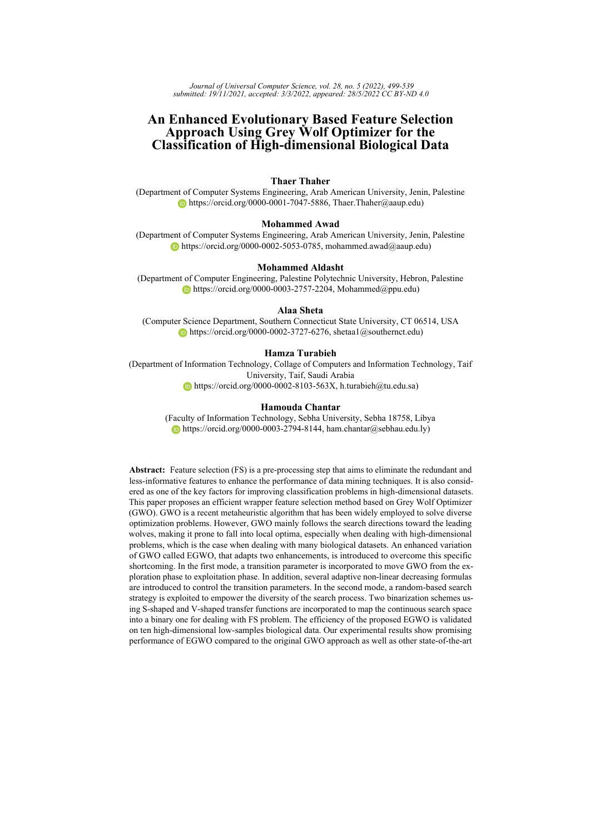<span id="page-24-0"></span>

| Dataset         | Measure | SBGWO1 | VBGWO1 | SBGW <sub>O2</sub> | VBGW02 |
|-----------------|---------|--------|--------|--------------------|--------|
| ALLAML R        | Avg     | 0.1898 | 0.1834 | 0.1819             | 0.0429 |
|                 | Std     | 0.0094 | 0.0071 | 0.0059             | 0.0139 |
| CLL SUB 111 R   | Avg     | 0.4341 | 0.4030 | 0.4132             | 0.2767 |
|                 | Std     | 0.0038 | 0.0103 | 0.0056             | 0.0219 |
| colon R         | Avg     | 0.1719 | 0.1480 | 0.1494             | 0.0784 |
|                 | Std     | 0.0139 | 0.0111 | 0.0041             | 0.0092 |
| GLI 85 R        | Avg     | 0.1782 | 0.1571 | 0.1635             | 0.0607 |
|                 | Std     | 0.0122 | 0.0108 | 0.0056             | 0.0096 |
| <b>GLIOMA R</b> | Avg     | 0.1630 | 0.1589 | 0.1617             | 0.0942 |
|                 | Std     | 0.0087 | 0.0034 | 0.0057             | 0.0015 |
| lung discrete R | Avg     | 0.1820 | 0.1666 | 0.1728             | 0.0848 |
|                 | Std     | 0.0081 | 0.0085 | 0.0046             | 0.0173 |
| lung R          | Avg     | 0.0900 | 0.0880 | 0.0901             | 0.0251 |
|                 | Std     | 0.0036 | 0.0025 | 0.0035             | 0.0030 |
| lymphoma R      | Avg     | 0.1177 | 0.1141 | 0.1162             | 0.0446 |
|                 | Std     | 0.0094 | 0.0030 | 0.0039             | 0.0041 |
| Prostate_GE_R   | Avg     | 0.1744 | 0.1578 | 0.1600             | 0.0569 |
|                 | Std     | 0.0070 | 0.0095 | 0.0039             | 0.0079 |
| SMK CAN 187 R   | Avg     | 0.3652 | 0.3588 | 0.3604             | 0.2489 |
|                 | Std     | 0.0072 | 0.0060 | 0.0046             | 0.0093 |
| Mean Rank       | F-test  | 3.90   | 2.10   | 3.00               | 1.00   |

*Table 7: Comparison of BGWO using different binarization methods in terms of fitness values.*

BEGWO4 scored an accuracy of 0.7626 with a minimal subset of features (size of 69.80). In comparison, the conventional BGWO scored an accuracy of 0.699 with 663.3 features. In general, there is a clear reduction in the number of features while improving or at least maintaining classification accuracy.

The excellent performance of the BEGWO4 is confirmed by the average of fitness values reported in Table [10.](#page-29-0) Inspecting the results, BEGWO4 can surpass the other competitors on 80% of the utilized datasets. Accordingly, this variant outperforms the other competitive variants in satisfying the FS process's main aim. As per mean rank, BEGWO4 is ranked first, followed by BEGWO and BGWO, respectively.

Finally, the convergence behaviors for the top three variants (i.e., BEGWO4, BEGWO, and BGWO) are shown in Figures [10](#page-26-0) and [11.](#page-27-0) The plotting curves illustrate that the BEGWO4 variant exhibits a better acceleration rate of convergence in about seven problems than all other variants. The convergence curves reveal an acceptable performance of the standard BGWO variant in three problems: lung\_discrete\_R, lung\_R, and lymphoma\_R.

Justifying the superiority of the proposed BEGWO4, we can say that employing the transition parameter along with a random-based exploration operator guarantees good exploratory potential at the beginning of the search process and emphasize the required diversity for high-dimensional datasets. Therefore, it can find better minimal subsets of features that contribute to the highest accuracy rate. In specific, delaying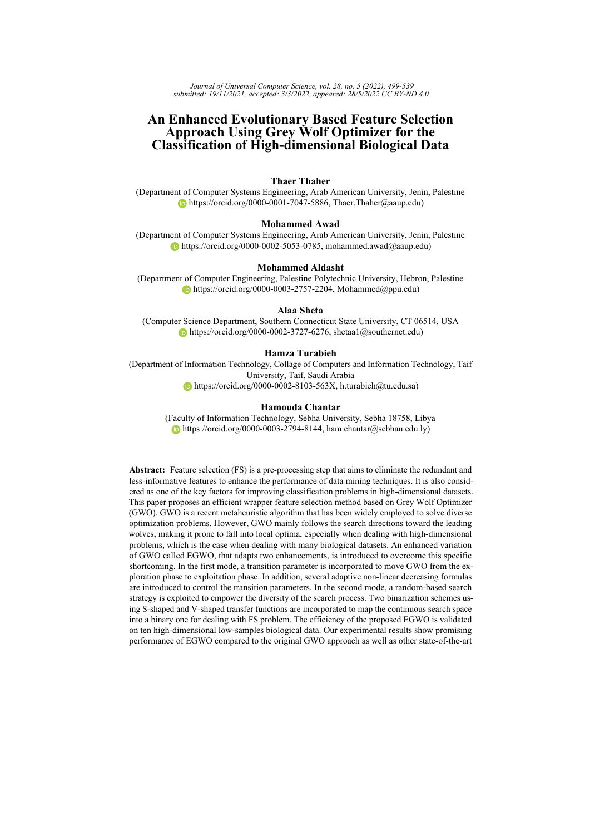<span id="page-25-1"></span>

| Dataset               | Measure |        |        |        | BGWO BEGWO BEGWO1 BEGWO2 BEGWO3 BEGWO4 |        |        |
|-----------------------|---------|--------|--------|--------|----------------------------------------|--------|--------|
| ALLAML R              | Avg     | 0.9562 | 0.9667 | 0.9396 | 0.9306                                 | 0.9368 | 0.9708 |
|                       | Std     | 0.0151 | 0.0171 | 0.0151 | 0.0142                                 | 0.0171 | 0.0118 |
| CLL_SUB_111_R         | Avg     | 0.6991 | 0.7518 | 0.6838 | 0.6730                                 | 0.7203 | 0.7626 |
|                       | Std     | 0.0229 | 0.0307 | 0.0244 | 0.0176                                 | 0.0374 | 0.0268 |
| colon R               | Avg     | 0.9210 | 0.9250 | 0.9242 | 0.9226                                 | 0.9202 | 0.9282 |
|                       | Std     | 0.0103 | 0.0168 | 0.0076 | 0.0099                                 | 0.0111 | 0.0111 |
| GLI 85 R              | Avg     | 0.9400 | 0.9406 | 0.9359 | 0.9312                                 | 0.9365 | 0.9494 |
|                       | Std     | 0.0084 | 0.0145 | 0.0160 | 0.0096                                 | 0.0134 | 0.0179 |
| <b>GLIOMA R</b>       | Avg     | 0.9000 | 0.9000 | 0.9000 | 0.9000                                 | 0.9000 | 0.9000 |
|                       | Std     | 0.0000 | 0.0000 | 0.0065 | 0.0000                                 | 0.0000 | 0.0000 |
| lung discrete R       | Avg     | 0.9158 | 0.9082 | 0.9151 | 0.9096                                 | 0.9130 | 0.9082 |
|                       | Std     | 0.0195 | 0.0199 | 0.0123 | 0.0136                                 | 0.0135 | 0.0127 |
| lung R                | Avg     | 0.9776 | 0.9741 | 0.9729 | 0.9724                                 | 0.9700 | 0.9702 |
|                       | Std     | 0.0030 | 0.0045 | 0.0034 | 0.0046                                 | 0.0040 | 0.0052 |
| lymphoma <sub>R</sub> | Avg     | 0.9547 | 0.9526 | 0.9552 | 0.9526                                 | 0.9402 | 0.9479 |
|                       | Std     | 0.0051 | 0.0053 | 0.0049 | 0.0053                                 | 0.0061 | 0.0089 |
| Prostate GE R         | Avg     | 0.9417 | 0.9426 | 0.9343 | 0.9275                                 | 0.9333 | 0.9471 |
|                       | Std     | 0.0087 | 0.0160 | 0.0079 | 0.0098                                 | 0.0060 | 0.0116 |
| SMK CAN 187 R Avg     |         | 0.7281 | 0.7543 | 0.7131 | 0.7131                                 | 0.7297 | 0.7709 |
|                       | Std     | 0.0102 | 0.0174 | 0.0117 | 0.0078                                 | 0.0122 | 0.0177 |
| Mean Rank             | F-test  | 2.95   | 2.65   | 3.60   | 4.85                                   | 4.45   | 2.50   |

*Table 8: Comparison between the enhanced variants and the standard BGWO in terms of accuracy rates*

the rate of decrease in the value of the control parameter  $(a)$  leads to the possibility of applying the exploration operators for more iterations during the search process, thus improving the algorithm's ability to explore more promising regions in the large search space. Accordingly, it preserves the required diversity during the search process and reduces the chances of being trapped in local optima.

# <span id="page-25-0"></span>**5.5 Comparison of BEGWO4 with Well-known Algorithms**

After proving the effectiveness of the proposed BEGWO4 compared to the conventional BGWO. This part aims to validate the performance of BEGWO4 by conducting a deep comparison with other six well-established algorithms in terms of average accuracy, size of the selected features, and fitness values as reported in Tables [11,](#page-32-1) [12,](#page-33-0) and [13,](#page-34-0) respectively. The comparative algorithms are Binary Whale Optimization Algorithm (BWOA), Binary Particle Swarm Optimization (BPSO), Binary Bat Algorithm (BBA), Binary Ant Lion Optimizer (BALO), Binary Harris Hawks Optimizer (BHHO), and Binary Gravitational Search Algorithm (BGSA). To keep a fair comparison, the same binarization scheme was used to adapt these algorithms for the FS problem.

Table [11](#page-32-1) outlines the averages of classification accuracy obtained by the BEGWO4 and other algorithms. The results demonstrate that the BEGWO4 variant outperforms the other competitors in achieving high average accuracy ON 70% of the utilized datasets (overall rank of 1.3). For the datasets containing the largest number of features, such as GLI\_85\_R and SMK\_CAN\_187\_R, the BEGWO4 has retained the highest accuracy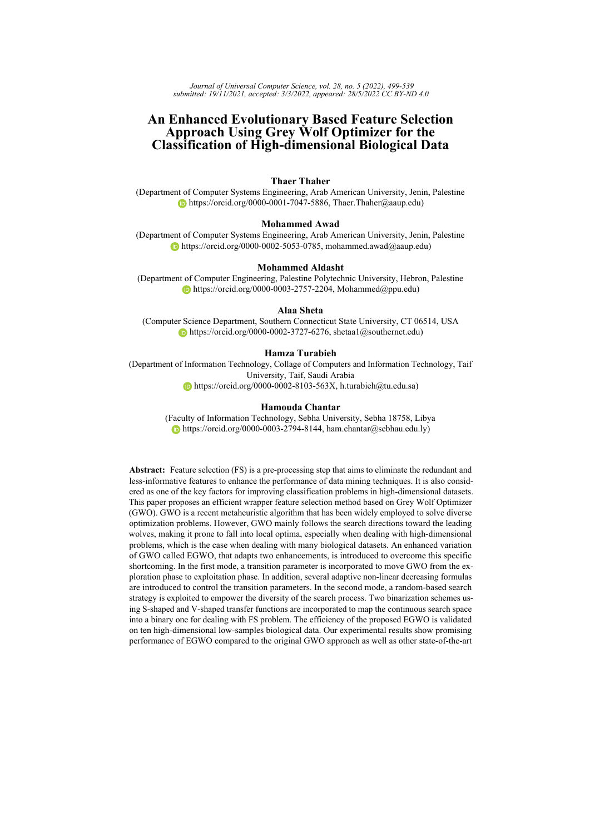<span id="page-26-0"></span>

*Figure 10: Convergence curves for top three variants bGWO, bEGWO, and bEGWO4 for ALLAML\_R, CLL\_SUB\_111\_R, colon\_R, GLI\_85\_R, and GLIOMA\_R datasets [log scale]*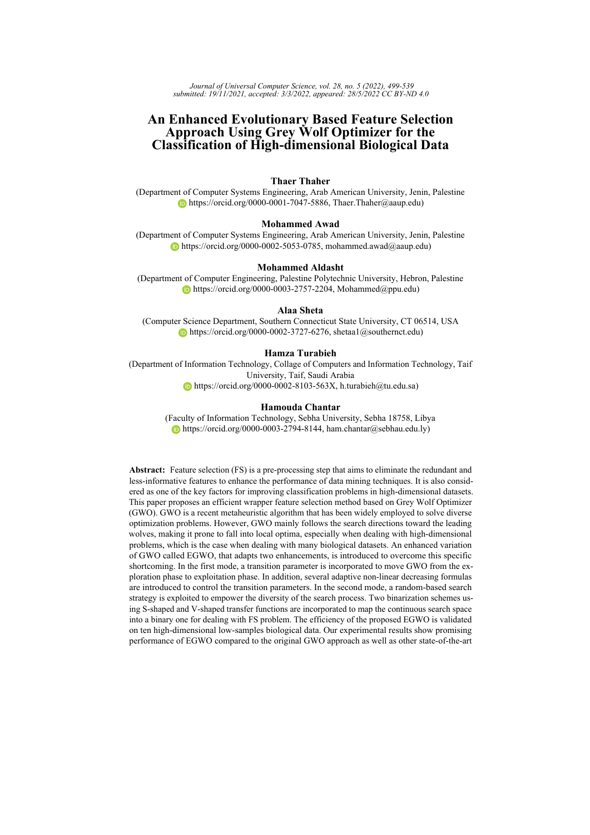<span id="page-27-0"></span>

*Figure 11: Convergence curves for top three variants bGWO, bEGWO, and bEGWO4 for lung\_discrete\_R, lung\_R, lymphoma\_R, Prostate\_GE\_R, SMK\_CAN\_187\_R datasets [log scale]*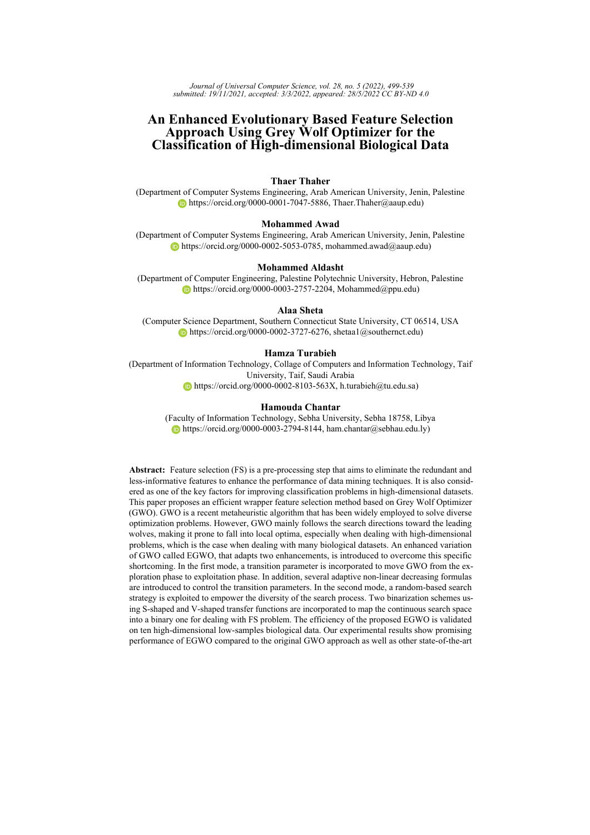<span id="page-28-0"></span>

| Dataset             | Measure | <b>BGWO</b> |        |         | BEGWO BEGWO1 BEGWO2 BEGWO3 BEGWO4 |         |        |
|---------------------|---------|-------------|--------|---------|-----------------------------------|---------|--------|
| ALLAML R            | Avg     | 252.05      | 86.10  | 527.45  | 606.15                            | 274.25  | 29.05  |
|                     | Std     | 52.57       | 37.52  | 128.66  | 172.22                            | 103.35  | 22.74  |
| CLL SUB 111 R       | Avg     | 663.30      | 186.60 | 1002.65 | 1386.80                           | 527.60  | 69.80  |
|                     | Std     | 218.26      | 121.88 | 265.72  | 324.54                            | 266.68  | 33.22  |
| colon R             | Avg     | 145.95      | 67.60  | 201.55  | 250.85                            | 170.50  | 78.95  |
|                     | Std     | 49.36       | 44.76  | 28.25   | 99.52                             | 50.30   | 64.43  |
| GLI 85 R            | Avg     | 1501.10     | 612.85 | 2331.15 | 2426.40                           | 1205.90 | 262.70 |
|                     | Std     | 597.13      | 570.46 | 1002.27 | 493.23                            | 486.68  | 140.89 |
| <b>GLIOMA R</b>     | Avg     | 185.90      | 117.15 | 253.30  | 318.05                            | 221.05  | 108.05 |
|                     | Std     | 65.53       | 49.70  | 73.71   | 77.74                             | 65.68   | 48.88  |
| lung discrete R     | Avg     | 29.05       | 25.30  | 41.75   | 45.60                             | 33.20   | 22.85  |
|                     | Std     | 6.87        | 9.70   | 8.97    | 14.86                             | 8.40    | 6.92   |
| lung R              | Avg     | 162.65      | 80.70  | 227.60  | 292.20                            | 170.25  | 87.30  |
|                     | Std     | 57.83       | 29.13  | 48.98   | 60.83                             | 37.05   | 43.31  |
| lymphoma R          | Avg     | 152.85      | 112.05 | 251.15  | 314.20                            | 220.65  | 96.40  |
|                     | Std     | 48.45       | 38.01  | 53.22   | 76.98                             | 68.87   | 61.17  |
| Prostate GE R       | Avg     | 260.75      | 113.95 | 426.80  | 621.85                            | 285.15  | 39.80  |
|                     | Std     | 53.52       | 74.31  | 88.51   | 173.48                            | 83.37   | 34.63  |
| SMK CAN 187 $R$ Avg |         | 839.65      | 226.50 | 1617.55 | 1784.00                           | 636.40  | 70.20  |
|                     | Std     | 185.39      | 127.06 | 505.24  | 437.40                            | 316.66  | 34.14  |
| Mean Rank           | F-test  | 3.30        | 1.80   | 5.00    | 6.00                              | 3.70    | 1.20   |

*Table 9: Comparison between the enhanced variants and the standard BGWO in terms of selected fetaures*

94.94% and 77.09%, which proved a better learning and classification process. The BHHO scored higher accuracy results compared to the other competitors in 3 cases (overall rank of 1.7). According to the overall rank, the BEGWO4 came in the first rank, followed by BHHO, BWOA, BPSO, BGSA, BALO, and BBA, respectively.

By inspecting the average number of selected features in Table [12.](#page-33-0) It is clear the superiority of BWOA in offering the minimum number of features on about 90 % of the datasets (rank of 1.2), followed by BEGWO4 (rank of 2.10). These findings imply that BWOA shows success in feature reduction. However, excessive feature reduction may result in the exclusion of some relevant features, which degrade the classification performance (see Table [11\)](#page-32-1). Although BEGWO4 is given the second rank in terms of feature reduction, it can find the most relevant subset of features that provides better classification accuracy.

To confirm the effectiveness of the competing algorithms, the fitness value which combines the two measures (i.e., accuracy and reduction rate) is adopted. The results in Table [13](#page-34-0) confirm the superiority of BEGWO4 in offering better fitness values on 70% of the datasets. Based on the overall rank, BEGWO4 is ranked first, followed by BHHO which outperforms the other peers in 3 cases.

Figures [12](#page-30-0) and [13](#page-31-0) examine the acceleration behavior of the developed BEGWO4 versus other approaches. Considering all curves, it can be observed that the BEGWO4 accelerates faster than other competitors toward better solutions in the majority of problems (6 cases). It is also competitive to BHHO in CLL\_SUB\_111\_R, lymphoma\_R, and Prostate GE\_R datasets. BHHO shows the second-best convergence rate. In contrast,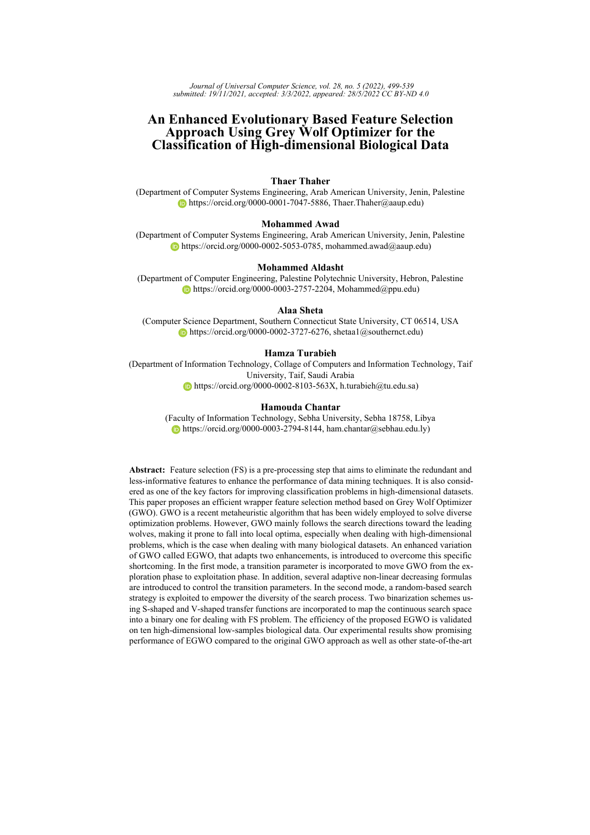<span id="page-29-0"></span>

| Dataset               | Measure |        |        |        | BGWO BEGWO BEGWO1 BEGWO2 BEGWO3 BEGWO4 |        |        |
|-----------------------|---------|--------|--------|--------|----------------------------------------|--------|--------|
| ALLAML R              | Avg     | 0.0429 | 0.0312 | 0.0618 | 0.0710                                 | 0.0607 | 0.0267 |
|                       | Std     | 0.0139 | 0.0157 | 0.0144 | 0.0134                                 | 0.0156 | 0.0108 |
| CLL_SUB_111_R         | Avg     | 0.2767 | 0.2250 | 0.2934 | 0.3066                                 | 0.2564 | 0.2143 |
|                       | Std     | 0.0219 | 0.0282 | 0.0226 | 0.0170                                 | 0.0355 | 0.0242 |
| colon R               | Avg     | 0.0784 | 0.0709 | 0.0783 | 0.0822                                 | 0.0804 | 0.0685 |
|                       | Std     | 0.0092 | 0.0153 | 0.0071 | 0.0101                                 | 0.0098 | 0.0116 |
| GLI 85 R              | Avg     | 0.0607 | 0.0562 | 0.0682 | 0.0728                                 | 0.0626 | 0.0467 |
|                       | Std     | 0.0096 | 0.0141 | 0.0145 | 0.0091                                 | 0.0135 | 0.0162 |
| <b>GLIOMA R</b>       | Avg     | 0.0942 | 0.0926 | 0.0957 | 0.0972                                 | 0.0950 | 0.0924 |
|                       | Std     | 0.0015 | 0.0011 | 0.0058 | 0.0018                                 | 0.0015 | 0.0066 |
| lung discrete R       | Avg     | 0.0848 | 0.0904 | 0.0893 | 0.0954                                 | 0.0885 | 0.0896 |
|                       | Std     | 0.0173 | 0.0195 | 0.0105 | 0.0131                                 | 0.0129 | 0.0111 |
| lung R                | Avg     | 0.0251 | 0.0257 | 0.0313 | 0.0337                                 | 0.0321 | 0.0295 |
|                       | Std     | 0.0030 | 0.0042 | 0.0027 | 0.0047                                 | 0.0038 | 0.0046 |
| lymphoma <sub>R</sub> | Avg     | 0.0446 | 0.0454 | 0.0466 | 0.0505                                 | 0.0593 | 0.0493 |
|                       | Std     | 0.0041 | 0.0049 | 0.0042 | 0.0044                                 | 0.0063 | 0.0080 |
| Prostate GE R         | Avg     | 0.0569 | 0.0535 | 0.0663 | 0.0757                                 | 0.0648 | 0.0483 |
|                       | Std     | 0.0079 | 0.0153 | 0.0074 | 0.0097                                 | 0.0059 | 0.0109 |
| SMK CAN 187 R Avg     |         | 0.2489 | 0.2223 | 0.2663 | 0.2671                                 | 0.2465 | 0.2066 |
|                       | Std     | 0.0093 | 0.0160 | 0.0122 | 0.0083                                 | 0.0118 | 0.0159 |
| Mean Rank             | F-test  | 2.70   | 2.30   | 4.30   | 5.90                                   | 4.00   | 1.80   |

*Table 10: Comparison between the enhanced variants and the standard BGWO in terms of fitness results*

several stagnation problems can be detected in BALO and BBA curves in most cases.

Based on previous observations, it is recognized that BEGWO4 ensures satisfactory results in terms of all measures. The added enhancements to the GWO improve the capability of search agents to explore and exploit the massive search space.

#### **5.6 Evaluation the Impact of Feature Felection**

This part aims to verify the positive impact of the FS process on the performance of the classification algorithm. Precisely, we present a deep comparison of KNN performance before and after the application of FS methods. For this purpose, KNN without FS (i.e., using the original feature set) is compared to the proposed wrapper FS approach that combines BEGWO4 and KNN (BEGWO4-KNN) in addition to the Relief-based algorithm (RBA) with KNN (RBA-KNN). The literature reveals that RBA is an efficient filter-based FS method. It has gained appeal by striking a flexibly adapting to various data characteristics with complex patterns of association [\[Urbanowicz et al., 2018\]](#page-40-17). In this experiment, several threshold  $(\tau)$  ratios of 0.01, 0.25, 0.5, and 0.75 were tested. Here  $\tau$  represents the ratio of selected features that were given the highest weights by RBA.

The number of features and classification accuracy achieved by KNN, RBA-KNN, and BEGWO4 are reported in Table [14.](#page-34-1) Firstly, Based on the results of the RBA-KNN method, using 25% of the features scores better classification accuracy compared to other ratios in 6 datasets. It is noted that excessive feature reduction (i.e., the ratio of 0.01 ) and excessive use of features (i.e., the ratio of 0.75) degrade the classification performance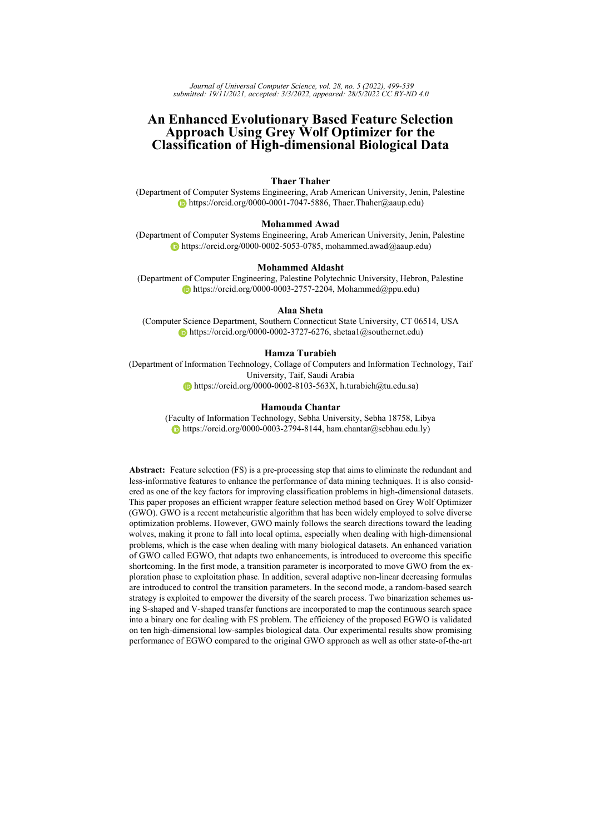<span id="page-30-0"></span>

*Figure 12: Convergence curves of all compared algorithms for ALLAML\_R, CLL\_SUB\_111\_R, colon\_R, GLI\_85\_R, and GLIOMA\_R datasets [log scale]*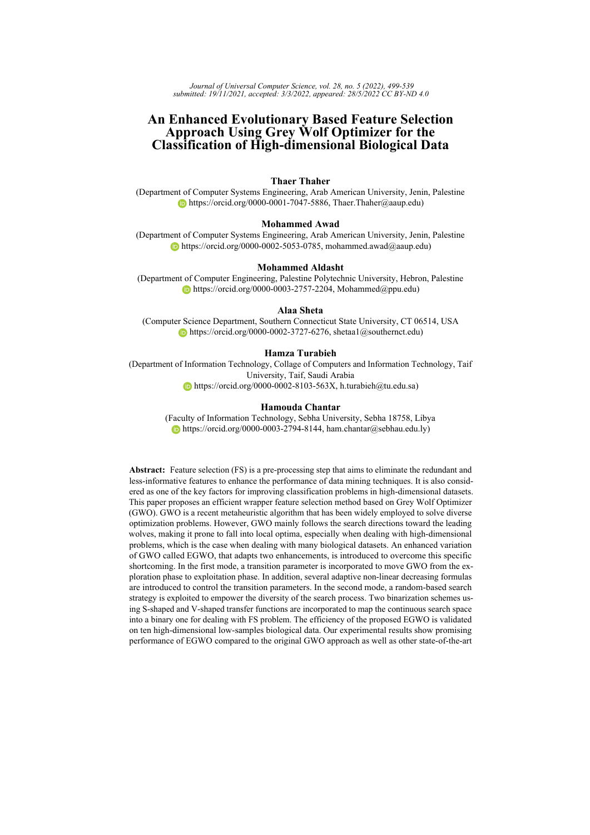<span id="page-31-0"></span>

*Figure 13: Convergence curves of all compared algorithms for lung\_discrete\_R, lung\_R, lymphoma\_R, Prostate\_GE\_R, SMK\_CAN\_187\_R datasets [log scale]*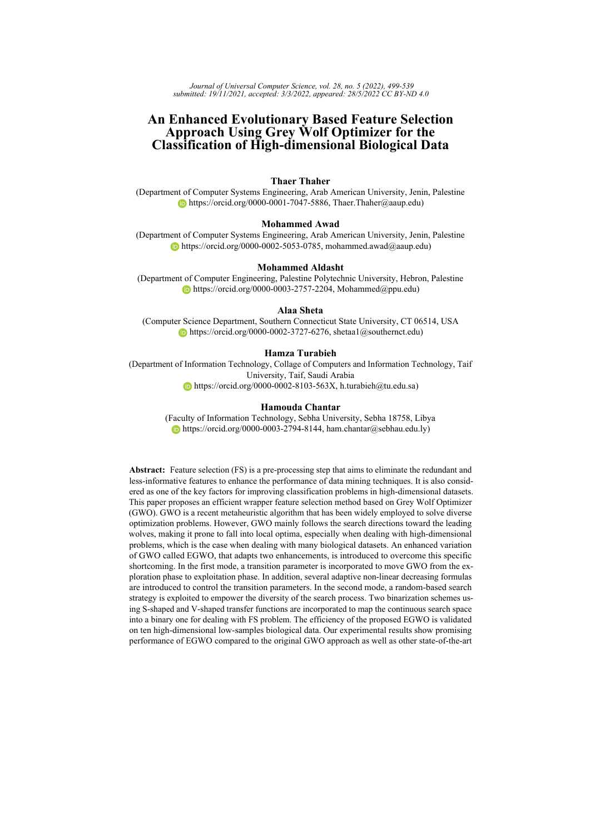<span id="page-32-1"></span>

| Dataset             |        | Measure BEGWO4 BWOA BPSO BBA BALO BHHO BGSA |      |      |      |      |                                           |      |
|---------------------|--------|---------------------------------------------|------|------|------|------|-------------------------------------------|------|
| ALLAML R            | Avg    | 0.9708                                      |      |      |      |      | 0.9458 0.8813 0.8292 0.8583 0.9507 0.8632 |      |
|                     | Std    | 0.0118                                      |      |      |      |      | 0.0266 0.0084 0.0207 0.0116 0.0204 0.0082 |      |
| $CLL$ _SUB_111_R    | Avg    | 0.7626                                      |      |      |      |      | 0.7432 0.6338 0.5387 0.6095 0.7658 0.6059 |      |
|                     | Std    | 0.0268                                      |      |      |      |      | 0.0383 0.0121 0.0369 0.0161 0.0352 0.0146 |      |
| colon R             | Avg    | 0.9282                                      |      |      |      |      | 0.9089 0.9153 0.8460 0.9024 0.9194 0.8976 |      |
|                     | Std    | 0.0111                                      |      |      |      |      | 0.0168 0.0089 0.0206 0.0064 0.0148 0.0120 |      |
| GLI 85 R            | Avg    | 0.9494                                      |      |      |      |      | 0.9218 0.9018 0.8329 0.8859 0.9294 0.8947 |      |
|                     | Std    | 0.0179                                      |      |      |      |      | 0.0149 0.0079 0.0287 0.0102 0.0143 0.0081 |      |
| <b>GLIOMA R</b>     | Avg    | 0.9000                                      |      |      |      |      | 0.8940 0.8920 0.8490 0.8820 0.8980 0.8810 |      |
|                     | Std    | 0.0000                                      |      |      |      |      | 0.0114 0.0101 0.0165 0.0062 0.0062 0.0045 |      |
| lung discrete R     | Avg    | 0.9082                                      |      |      |      |      | 0.8815 0.8959 0.8425 0.8712 0.8993 0.8740 |      |
|                     | Std    | 0.0127                                      |      |      |      |      | 0.0260 0.0121 0.0220 0.0093 0.0092 0.0084 |      |
| lung R              | Avg    | 0.9702                                      |      |      |      |      | 0.9626 0.9650 0.9453 0.9589 0.9687 0.9613 |      |
|                     | Std    | 0.0052                                      |      |      |      |      | 0.0063 0.0042 0.0083 0.0037 0.0051 0.0029 |      |
| lymphoma R          | Avg    | 0.9479                                      |      |      |      |      | 0.9406 0.9380 0.9089 0.9266 0.9505 0.9323 |      |
|                     | Std    | 0.0089                                      |      |      |      |      | 0.0118 0.0023 0.0106 0.0079 0.0057 0.0053 |      |
| Prostate_GE_R       | Avg    | 0.9471                                      |      |      |      |      | 0.9353 0.9118 0.8422 0.8868 0.9475 0.8892 |      |
|                     | Std    | 0.0116                                      |      |      |      |      | 0.0160 0.0101 0.0165 0.0117 0.0120 0.0096 |      |
| SMK CAN 187 $R$ Avg |        | 0.7709                                      |      |      |      |      | 0.7468 0.6834 0.6382 0.6674 0.7636 0.6706 |      |
|                     | Std    | 0.0177                                      |      |      |      |      | 0.0155 0.0064 0.0136 0.0071 0.0147 0.0074 |      |
| Mean Rank           | F-test | 1.30                                        | 3.30 | 3.70 | 7.00 | 5.70 | 1.70                                      | 5.30 |

*Table 11: Average classification accuracy for BEGWO4 and other state-of-the-art algorithms*

in most cases compared to the ratio of 0.25. Secondly, considering all methods, the BEGWO-KNN yielded the optimal rank of 1.1; it outperforms the other methods in 90% of cases. RBA-KNN with a ratio of 0.025 is given the second-best rank. In contrast, the KNN with all features yielded the worst rank of 5.30. These observations demonstrate the importance of the FS process in improving the classification performance considerably (see Figure [14\)](#page-33-1). Taking ALLAML R data as an example, the BEGWO-KNN contributes to an increase of roughly 18% of accuracy with only 29 features out of 7129 features in the original data.

# <span id="page-32-0"></span>**6 Conclusion**

This study proposed an efficient wrapper-based FS approach for improving the classification accuracy of high-dimensional biological data. An enhanced variant of the GWO called BEGWO was introduced for exploring the search space to find an optimal subset of features. Different S-Shaped and V-Shaped binarization schemes were applied to transform the continuous search space into a binary one for the FS task. Following the determination of the most effective BGWO binary variant, two enhancements were introduced to emphasize the balance between exploration and exploitation. Firstly, a random-based search operator was employed to ensure better global search ability at the early stage of the optimization process. Secondly, the transition between the exploration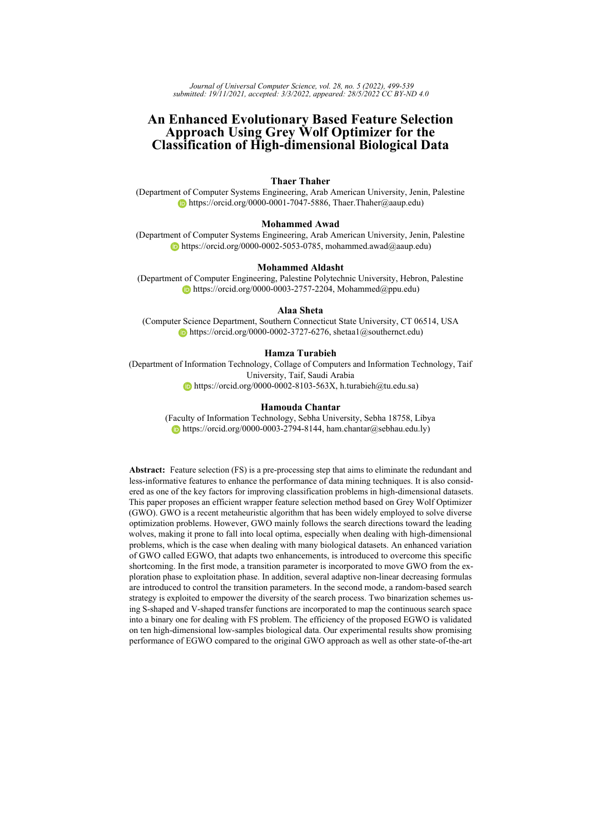<span id="page-33-0"></span>

| Dataset           |        | Measure bEGWO4 BWOA |        | <b>BPSO</b> | BBA     | <b>BALO</b>      | <b>BHHO</b> | <b>BGSA</b>                      |
|-------------------|--------|---------------------|--------|-------------|---------|------------------|-------------|----------------------------------|
| <b>ALLAML R</b>   | Avg    | 29.05               | 18.25  | 3465.00     | 2932.80 | 3981.80          | 44.30       | 3467.80                          |
|                   | Std    | 22.74               | 25.20  | 47.26       | 198.84  | 390.69           | 40.66       | 45.05                            |
| CLL SUB 111 R     | Avg    | 69.80               | 33.55  | 5596.80     | 4562.45 | 8153.80          | 39.50       | 5611.30                          |
|                   | Std    | 33.22               | 46.21  | 63.05       | 565.88  | 1590.93          | 39.45       | 50.02                            |
| colon R           | Avg    | 78.95               | 40.55  | 950.35      | 781.95  | 1444.20          | 79.15       | 966.65                           |
|                   | Std    | 64.43               | 57.01  | 14.73       | 120.22  | 192.41           | 83.07       | 24.71                            |
| GLI 85 R          | Avg    | 262.70              | 192.60 | 11022.35    |         |                  |             | 8778.80 15011.95 431.30 11050.85 |
|                   | Std    | 140.89              | 277.23 | 73.59       | 987.89  | 2127.55          | 459.66      | 68.00                            |
| <b>GLIOMA R</b>   | Avg    | 108.05              | 85.75  | 2077.50     | 1805.45 | 2372.90          | 147.45      | 2102.25                          |
|                   | Std    | 48.88               | 64.73  | 44.17       | 130.19  | 321.18           | 85.63       | 28.76                            |
| lung discrete R   | Avg    | 22.85               | 22.35  | 144.50      | 124.20  | 207.70           | 26.00       | 151.70                           |
|                   | Std    | 6.92                | 11.52  | 9.41        | 15.42   | 24.62            | 9.00        | 11.09                            |
| $l$ ung R         | Avg    | 87.30               | 68.15  | 1583.60     | 1356.25 | 1753.60          | 104.40      | 1593.65                          |
|                   | Std    | 43.31               | 46.44  | 29.74       | 101.81  | 116.39           | 72.58       | 32.89                            |
| lymphoma R        | Avg    | 96.40               | 81.85  | 1880.35     | 1642.00 | 2103.50          | 146.75      | 1926.45                          |
|                   | Std    | 61.17               | 32.36  | 27.40       | 103.51  | 165.92           | 47.26       | 34.50                            |
| Prostate GE R     | Avg    | 39.80               | 29.00  | 2900.45     | 2400.85 | 3747.45          | 46.20       | 2908.55                          |
|                   | Std    | 34.63               | 45.88  | 37.08       | 188.95  | 540.82           | 82.67       | 45.61                            |
| SMK CAN 187 R Avg |        | 70.20               | 71.30  | 9951.25     |         | 8058.75 12259.75 | 30.20       | 9929.20                          |
|                   | Std    | 34.14               | 183.83 | 74.38       | 813.27  | 1340.43          | 18.59       | 64.58                            |
| Mean Rank         | F-test | 2.10                | 1.20   | 5.10        | 4.00    | 7.00             | 2.70        | 5.90                             |

*Table 12: Average number of selected features for BEGWO4 and other state-of-the-art algorithms*

<span id="page-33-1"></span>

*Figure 14: Comparison of BEGWO-KNN, KNN, and RBA-KNN in terms of accuracy rates*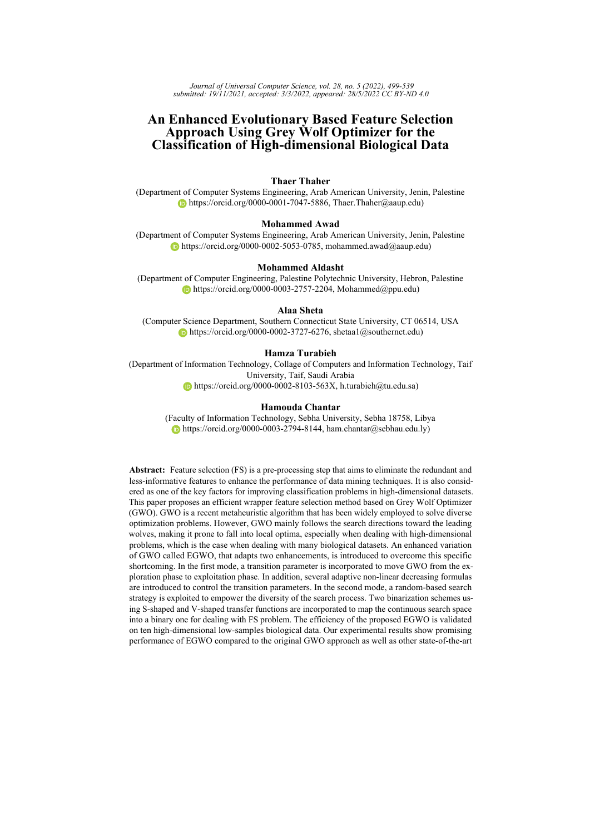<span id="page-34-0"></span>

| Dataset               | Measure | bEGWO4 | BWOA BPSO |        | <b>BBA</b>    | <b>BALO</b>   | BHHO                        | BGSA   |
|-----------------------|---------|--------|-----------|--------|---------------|---------------|-----------------------------|--------|
| <b>ALLAML R</b>       | Avg     | 0.0267 | 0.0490    |        |               |               | 0.1555 0.1723 0.1834 0.0450 | 0.1718 |
|                       | Std     | 0.0108 | 0.0240    | 0.0075 | 0.0058 0.0093 |               | 0.0185                      | 0.0073 |
| CLL_SUB_111_R         | Avg     | 0.2143 | 0.2314    | 0.3790 | 0.4253        | 0.4234        | 0.2112                      | 0.4042 |
|                       | Std     | 0.0242 | 0.0345    | 0.0108 | 0.0176        | 0.0107        | 0.0318                      | 0.0132 |
| colon R               | Avg     | 0.0685 | 0.0840    | 0.1237 |               | 0.1524 0.1600 | 0.0765                      | 0.1405 |
|                       | Std     | 0.0116 | 0.0150    | 0.0077 | 0.0177        | 0.0114        | 0.0138                      | 0.0103 |
| GLI 85 R              | Avg     | 0.0467 | 0.0713    | 0.1379 | 0.1632        | 0.1701        | 0.0655                      | 0.1444 |
|                       | Std     | 0.0162 | 0.0132    | 0.0071 | 0.0091        | 0.0107        | 0.0123                      | 0.0074 |
| <b>GLIOMA R</b>       | Avg     | 0.0924 | 0.0973    | 0.1441 | 0.1500        | 0.1597        | 0.0951                      | 0.1545 |
|                       | Std     | 0.0066 | 0.0103    | 0.0084 | 0.0109        | 0.0091        | 0.0052                      | 0.0036 |
| lung discrete R       | Avg     | 0.0896 | 0.1135    | 0.1382 | 0.1653        | 0.1798        | 0.0986                      | 0.1601 |
|                       | Std     | 0.0111 | 0.0236    | 0.0108 | 0.0141        | 0.0074        | 0.0092                      | 0.0077 |
| lung R                | Avg     | 0.0295 | 0.0358    | 0.0793 | 0.0767        | 0.0900        | 0.0313                      | 0.0829 |
|                       | Std     | 0.0046 | 0.0053    | 0.0038 | 0.0064        | 0.0026        | 0.0049                      | 0.0025 |
| lymphoma <sub>R</sub> | Avg     | 0.0493 | 0.0555    | 0.1025 |               | 0.1076 0.1183 | 0.0482                      | 0.1088 |
|                       | Std     | 0.0080 | 0.0104    | 0.0019 | 0 0 0 7 4     | 0.0060        | 0.0054                      | 0.0043 |
| Prostate GE R         | Avg     | 0.0483 | 0.0587    | 0.1280 | 0.1549        | 0.1647        | 0.0480                      | 0.1485 |
|                       | Std     | 0.0109 | 0.0149    | 0.0092 | 0.0138        | 0.0092        | 0.0115                      | 0.0084 |
| SMK CAN 187 R         | Avg     | 0.2066 | 0.2282    | 0.3347 | 0.3503        | 0.3607        | 0.2129                      | 0.3461 |
|                       | Std     | 0.0159 | 0.0143    | 0.0057 | 0.0083        | 0.0065        | 0.0132                      | 0.0066 |
| Mean Rank             | F-test  | 1.30   | 3.00      | 4.10   | 5.70          | 6.90          | 1.70                        | 5.30   |

*Table 13: Average fitness values for BEGWO4 and other state-of-the-art algorithms*

<span id="page-34-1"></span>

| <b>Benchmark</b>                                                            | RBA-KNN    |            |               |       |      |          |     |                                         |      |      |                                                                 |       |
|-----------------------------------------------------------------------------|------------|------------|---------------|-------|------|----------|-----|-----------------------------------------|------|------|-----------------------------------------------------------------|-------|
|                                                                             | <b>KNN</b> |            | 0.01          |       | 0.25 |          | 0.5 |                                         | 0.75 |      | <b>bEGWO4-KNN</b>                                               |       |
|                                                                             | Feat       |            |               |       |      |          |     | Acc Feat Acc Feat Acc Feat Acc Feat Acc |      |      | Feat                                                            | Acc   |
| ALLAML R                                                                    |            |            |               |       |      |          |     |                                         |      |      | 7129 0.792 71 0.958 1782 0.917 3565 0.861 5347 0.833 29.05      | 0.971 |
| CLL SUB 111 R                                                               |            |            |               |       |      |          |     |                                         |      |      | 11340 0.477 113 0.514 2835 0.577 5670 0.514 8505 0.505 69.80    | 0.763 |
| colon R                                                                     |            |            |               |       |      |          |     |                                         |      |      | 2000 0.758 20 0.887 500 0.855 1000 0.806 1500 0.806 78.95       | 0.928 |
| GLI 85 R                                                                    |            |            |               |       |      |          |     |                                         |      |      | 22283 0.824 223 0.859 5571 0.859 11142 0.835 16712 0.847 262.70 | 0.949 |
| <b>GLIOMA R</b>                                                             |            |            |               |       |      |          |     |                                         |      |      | 4434 0.820 44 0.840 1109 0.820 2217 0.800 3326 0.820 108.05     | 0.900 |
| lung discrete R                                                             | 325        | 0.836      | $\mathcal{R}$ | 0.411 |      | 81 0.918 |     |                                         |      |      | 163 0.904 244 0.849 22.85                                       | 0.908 |
| $lung$ R                                                                    |            |            |               |       |      |          |     |                                         |      |      | 3312 0.961 33 0.936 828 0.961 1656 0.961 2484 0.956 87.30       | 0.970 |
| lymphoma R                                                                  |            | 4026 0.917 |               |       |      |          |     |                                         |      |      | 40 0.844 1007 0.938 2013 0.938 3020 0.938 96.40                 | 0.948 |
| Prostate GE R                                                               |            |            |               |       |      |          |     |                                         |      |      | 5966 0.833 60 0.931 1492 0.922 2983 0.882 4475 0.873 39.80      | 0.947 |
| SMK CAN 187 R 19993 0.679 200 0.706 4998 0.733 9997 0.706 14995 0.706 70.20 |            |            |               |       |      |          |     |                                         |      |      |                                                                 | 0.771 |
| Rank (F-test)                                                               |            | 5.30       |               | 3.60  |      | 2.65     |     | 4.00                                    |      | 4.35 |                                                                 | 1.10  |

*Table 14: Comparison of wrapper FS (BEGWO-KNN) with filter method (RBA-KNN) in terms of accuracy and feature size (Feat).*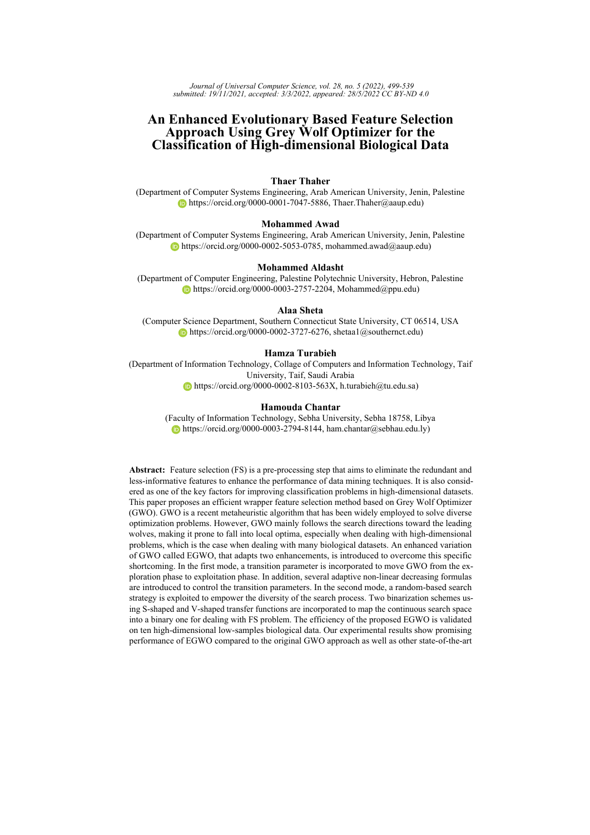and exploitation phases was adjusted by embedding the concept of transition parameters using various non-linear decreasing strategies. The proposed approaches were validated on a set of ten challenging biological datasets. It is found that the proposed improved version BEGWO4 outperformed the other three enhanced variants as well as the conventional binary version of the GWO optimizer. In addition, the BEGWO4 FS approach has also shown better performance, especially in terms of classification accuracy, than several optimization algorithms, including BWOA, BPSO, BBA, BALO, BHHO, and BGSA. It can be concluded that the proposed BEGWO-based wrapper FS can satisfy biological classification tasks with a minimal subset of features and better accuracy rates.

Although the proposed GWO-based FS approach has shown promising performance, we still need to assess its performance in other domains such as text classification and micro-array data classification to emphasize its robustness. The evaluation of the proposed approach using further datasets would offer further insight for the efficacy of the proposed approach. Our future works will focus on evaluating the proposed improved BEGWO4 algorithm on other real classification problems. In addition, the same parameter  $(a)$  that is used for controlling the transition of the search process from exploration to exploration is also used in other algorithms such as WOA and HHO. One of the future work directions is to apply the same proposed decreasing strategy of the value of  $(a)$  parameter to the same parameter in WOA and HHO algorithms to investigate their performance in the FS domain.

#### **Acknowledgements**

The authors would like to acknowledge Taif University Researchers Supporting Project Number (TURSP-2020/125), Taif University, Taif, Saudi Arabia.

## **References**

<span id="page-35-5"></span>[Abdel-Basset et al., 2020] Abdel-Basset, M., El-Shahat, D., El-henawy, I., de Albuquerque, V., and Mirjalili, S. (2020). A new fusion of grey wolf optimizer algorithm with a two-phase mutation for feature selection. *Expert Systems with Applications*, 139:112824.

<span id="page-35-2"></span>[Abdel-Basset et al., 2021] Abdel-Basset, M., Mohamed, R., Chakrabortty, R. K., Ryan, M. J., and Mirjalili, S. (2021). An efficient binary slime mould algorithm integrated with a novel attacking-feeding strategy for feature selection. *Computers & Industrial Engineering*, 153:107078.

<span id="page-35-0"></span>[Abed-alguni and Alawad, 2021] Abed-alguni, B. H. and Alawad, N. A. (2021). Distributed grey wolf optimizer for scheduling of workflow applications in cloud environments. *Applied Soft Computing*, 102:107113.

<span id="page-35-3"></span>[Abu Khurma et al., 2021] Abu Khurma, R., Aljarah, I., and Sharieh, A. (2021). A simultaneous moth flame optimizer feature selection approach based on levy flight and selection operators for medical diagnosis. *ARABIAN JOURNAL FOR SCIENCE AND ENGINEERING*.

<span id="page-35-4"></span>[Agrawal et al., 2021] Agrawal, P., Abutarboush, H., Talari, G., and Wagdy, A. (2021). Metaheuristic algorithms on feature selection: A survey of one decade of research (2009-2019). *IEEE Access*, PP:1–1.

<span id="page-35-6"></span>[Ahmadi et al., 2021] Ahmadi, R., Ekbatanifard, G., and Bayat, P. (2021). A modified grey wolf optimizer based data clustering algorithm. *Applied Artificial Intelligence*, 35(1):63–79.

<span id="page-35-1"></span>[Akyurt et al., 2021] Akyurt, I., Kuvvetli, Y., Deveci, M., Garg, H., and Yüzsever, M. (2021). A new mathematical model for determining optimal workforce planning of pilots in an airline company. *Complex Intelligent Systems*.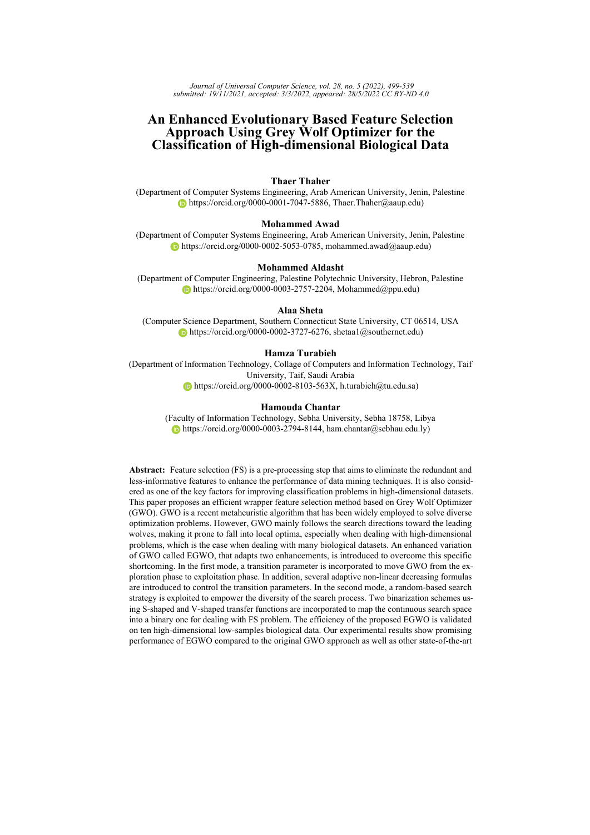<span id="page-36-13"></span>[Al-Betar et al., 2018] Al-Betar, M., Awadallah, M., Faris, H., Aljarah, I., and Hammouri, A. (2018). Natural selection methods for grey wolf optimizer. *Expert Systems with Applications*, 113.

<span id="page-36-3"></span>[Al-Tashi et al., 2020] Al-Tashi, Q., Md Rais, H., Abdulkadir, S. J., Mirjalili, S., and Alhussian, H. (2020). *A Review of Grey Wolf Optimizer-Based Feature Selection Methods for Classification*, pages 273–286. Springer Singapore, Singapore.

<span id="page-36-11"></span>[Al-Wajih et al., 2021] Al-Wajih, R., Abdulkadir, S. J., Aziz, N., Al-Tashi, Q., and Talpur, N. (2021). Hybrid binary grey wolf with harris hawks optimizer for feature selection. *IEEE Access*, 9:31662–31677.

<span id="page-36-4"></span>[Alweshah et al., 2021] Alweshah, M., Alkhalaileh, S., Al-Betar, M., and Bakar, A. (2021). Coronavirus herd immunity optimizer with greedy crossover for feature selection in medical diagnosis. *Knowledge-Based Systems*, 235:107629.

<span id="page-36-9"></span>[Arora and Joshi, 2017] Arora, S. and Joshi, H. (2017). Enhanced grey wolf optimisation algorithm for constrained optimisation problems. *International Journal of Swarm Intelligence*, 3:126.

<span id="page-36-6"></span>[Awadallah et al., 2020] Awadallah, M., Al-Betar, M., Hammouri, A., and Alomari, O. (2020). Binary jaya algorithm with adaptive mutation for feature selection. *Arabian Journal for Science and Engineering*, 45:1–16.

<span id="page-36-5"></span>[Awadallah et al., 2022] Awadallah, M. A., Hammouri, A. I., Al-Betar, M. A., Braik, M. S., and Elaziz, M. A. (2022). Binary horse herd optimization algorithm with crossover operators for feature selection. *Computers in Biology and Medicine*, 141:105152.

<span id="page-36-0"></span>[Balaji et al., 2021] Balaji, E., Brindha, D., Vinodh Kumar, E., and Umesh, K. (2021). Datadriven gait analysis for diagnosis and severity rating of parkinson's disease. *Medical Engineering & Physics*, 91:54–64.

<span id="page-36-7"></span>[Chantar et al., 2019] Chantar, H., Mafarja, M., Alsawalqah, H., Heidari, A. A., Aljarah, I., and Faris, H. (2019). Feature selection using binary grey wolf optimizer with elite-based crossover for Arabic text classification. *Neural Computing and Applications*, pages 1–20.

<span id="page-36-2"></span>[Chantar et al., 2020] Chantar, H., Mafarja, M., Alsawalqah, H., Heidari, A. A., Aljarah, I., and Faris, H. (2020). Feature selection using binary grey wolf optimizer with elite-based crossover for arabic text classification. *Neural Computing and Applications*, 32(16):12201–12220.

<span id="page-36-1"></span>[Chantar et al., 2021] Chantar, H., Thaher, T., Turabieh, H., Mafarja, M., and Sheta, A. (2021). Bhho-tvs: A binary harris hawks optimizer with time-varying scheme for solving data classification problems. *Applied Sciences*, 11(14).

<span id="page-36-14"></span>[Chen et al., 2021] Chen, C., Wang, X., Chen, H., Wu, C., Mafarja, M., and Turabieh, H. (2021). Towards precision fertilization: Multi-strategy grey wolf optimizer based model evaluation and yield estimation. *Electronics*, 10(18).

<span id="page-36-12"></span>[Chuang et al., 2008] Chuang, L.-Y., Li, J.-C., and Yang, C.-H. (2008). Chaotic binary particle swarm optimization for feature selection using logistic map. In *Proceedings of the International MultiConference of Engineers and Computer Scientists*, volume 1.

<span id="page-36-15"></span>[Crawford et al., 2017] Crawford, B., Soto, R., Astorga, G., García, J., Castro, C., and Paredes, F. (2017). Putting continuous metaheuristics to work in binary search spaces. *Complexity*, 2017.

<span id="page-36-10"></span>[Debnath et al., 2017] Debnath, M. K., Mallick, R. K., and Sahu, B. K. (2017). Application of hybrid differential evolution–grey wolf optimization algorithm for automatic generation control of a multi-source interconnected power system using optimal fuzzy–pid controller. *Electric Power Components and Systems*, 45(19):2104–2117.

<span id="page-36-8"></span>[Deveci and Çetin Demirel, 2018] Deveci, M. and Çetin Demirel, N. (2018). Evolutionary algorithms for solving the airline crew pairing problem. *Computers Industrial Engineering*, 115:389–406.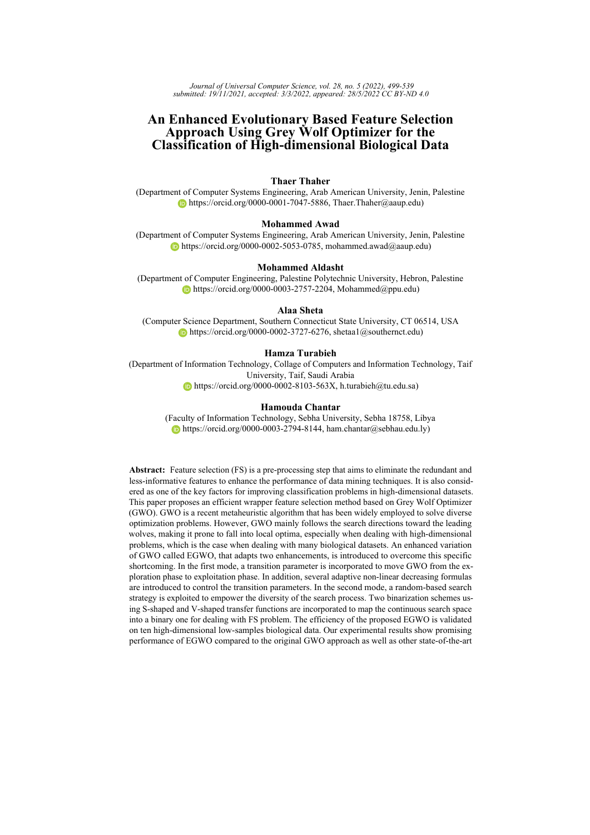<span id="page-37-10"></span>[Elminaam et al., 2021] Elminaam, D. S. A., Nabil, A., Ibraheem, S. A., and Houssein, E. H. (2021). An efficient marine predators algorithm for feature selection. *IEEE Access*, 9:60136–60153.

<span id="page-37-11"></span>[Emary et al., 2015] Emary, E., Zawbaa, H., A.Ghany, K., Hassanien, A. E., and Pârv, B. (2015). Firefly optimization algorithm for feature selection.

<span id="page-37-7"></span>[Emary and Zawbaa, 2016] Emary, E. and Zawbaa, H. M. (2016). Impact of chaos functions on modern swarm optimizers. *PloS one*, 11(7):e0158738.

<span id="page-37-4"></span>[Erdogan et al., 2021] Erdogan, N., Pamucar, D., Kucuksari, S., and Deveci, M. (2021). An integrated multi-objective optimization and multi-criteria decision-making model for optimal planning of workplace charging stations. *Applied Energy*, 304:117866.

<span id="page-37-5"></span>[Faris et al., 2017] Faris, H., Aljarah, I., Al-Betar, M. A., and Mirjalili, S. (2017). Grey wolf optimizer: a review of recent variants and applications. *Neural Computing and Applications*, pages  $1 - 23$ .

<span id="page-37-13"></span>[Faris et al., 2018a] Faris, H., Aljarah, I., Al-Betar, M. A., and Mirjalili, S. (2018a). Grey wolf optimizer: A review of recent variants and applications. *Neural Comput. Appl.*, 30(2):413–435.

<span id="page-37-16"></span>[Faris et al., 2018b] Faris, H., Mafarja, M. M., Heidari, A. A., Aljarah, I., Ala'M, A.-Z., Mirjalili, S., and Fujita, H. (2018b). An efficient binary salp swarm algorithm with crossover scheme for feature selection problems. *Knowledge-Based Systems*.

<span id="page-37-12"></span>[Farughi et al., 2019] Farughi, H., Mostafayi, S., and Arkat, J. (2019). Healthcare districting optimization using gray wolf optimizer and ant lion optimizer algorithms (case study: South khorasan healthcare system in iran). *Journal of Optimization in Industrial Engineering*, 12(1):119–131.

<span id="page-37-0"></span>[Ghaddar and Naoum-Sawaya, 2018] Ghaddar, B. and Naoum-Sawaya, J. (2018). High dimensional data classification and feature selection using support vector machines. *European Journal of Operational Research*, 265(3):993–1004.

<span id="page-37-2"></span>[Glover and Kochenberger, 2006] Glover, F. W. and Kochenberger, G. A. (2006). *Handbook of metaheuristics*, volume 57. Springer Science & Business Media.

<span id="page-37-6"></span>[Gupta and Deep, 2020] Gupta, S. and Deep, K. (2020). A memory-based grey wolf optimizer for global optimization tasks. *Applied Soft Computing*, page 106367.

<span id="page-37-1"></span>[Guyon and Elisseeff, 2003] Guyon, I. and Elisseeff, A. (2003). An introduction to variable and feature selection. *Journal of machine learning research*, 3(Mar):1157–1182.

<span id="page-37-9"></span>[Hammouri et al., 2020] Hammouri, A. I., Mafarja, M., Al-Betar, M. A., Awadallah, M. A., and Abu-Doush, I. (2020). An improved dragonfly algorithm for feature selection. *Knowledge-Based Systems*, 203:106131.

<span id="page-37-14"></span>[Harrison et al., 2016] Harrison, K. R., Engelbrecht, A. P., and Ombuki-Berman, B. M. (2016). Inertia weight control strategies for particle swarm optimization. *Swarm Intelligence*, 10(4):267–305.

<span id="page-37-3"></span>[Hassouneh et al., 2021] Hassouneh, Y., Turabieh, H., Thaher, T., Tumar, I., Chantar, H., and Too, J. (2021). Boosted whale optimization algorithm with natural selection operators for software fault prediction. *IEEE Access*, 9:14239–14258.

<span id="page-37-8"></span>[Hassouneh et al., 2021] Hassouneh, Y., Turabieh, H., Thaher, T., Tumar, I., Chantar, H., and Too, J. (2021). Boosted whale optimization algorithm with natural selection operators for software fault prediction. *IEEE Access*, 9:14239–14258.

<span id="page-37-17"></span>[Hastie et al., 2009] Hastie, T., Tibshirani, R., and Friedman, J. (2009). *The Elements of Statistical Learning: Data Mining, Inference, and Prediction, Second Edition (Springer Series in Statistics)*.

<span id="page-37-15"></span>[Heidari et al., 2019] Heidari, A. A., Mirjalili, S., Faris, H., Aljarah, I., Mafarja, M., and Chen, H. (2019). Harris hawks optimization: Algorithm and applications. *Future Generation Computer Systems*, 97:849 – 872.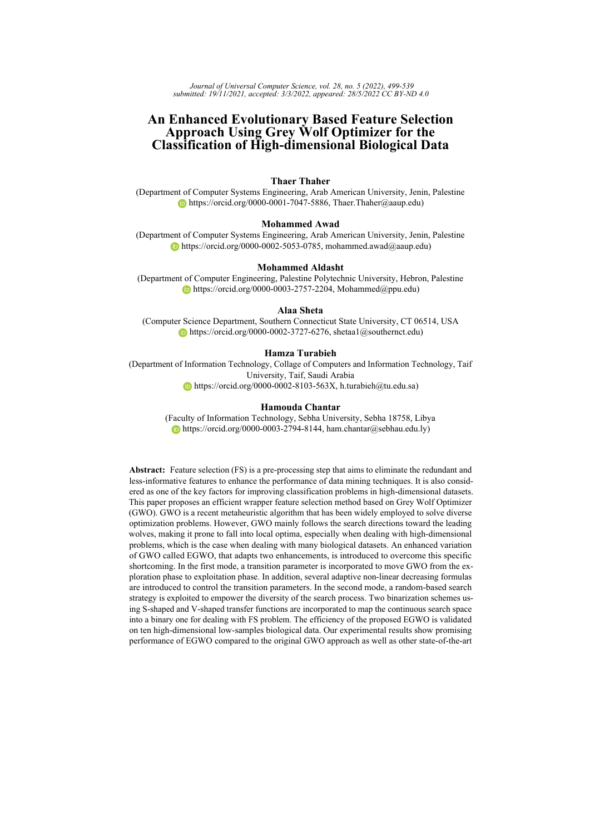<span id="page-38-15"></span>[Heidari and Pahlavani, 2017a] Heidari, A. A. and Pahlavani, P. (2017a). An efficient modified grey wolf optimizer with lévy flight for optimization tasks. *Applied Soft Computing*, 60:115–134.

<span id="page-38-3"></span>[Heidari and Pahlavani, 2017b] Heidari, A. A. and Pahlavani, P. (2017b). An efficient modified grey wolf optimizer with lévy flight for optimization tasks. *Applied Soft Computing*, 60:115–134.

<span id="page-38-6"></span>[Ho and Pepyne, 2002] Ho, Y.-C. and Pepyne, D. (2002). Simple explanation of the no-free-lunch theorem and its implications. *Journal of Optimization Theory and Applications*, 115:549–570.

<span id="page-38-14"></span>[Hu et al., 2020] Hu, P., Pan, J.-S., and Chu, S.-C. (2020). Improved binary grey wolf optimizer and its application for feature selection. *Knowledge-Based Systems*, 195:105746.

<span id="page-38-7"></span>[Ismail Sayed et al., 2018] Ismail Sayed, G., Darwish, A., and Hassanien, A. E. (2018). A new chaotic whale optimization algorithm for features selection. *Journal of Classification*, 35.

<span id="page-38-18"></span>[James et al., 2013] James, G., Witten, D., Hastie, T., and Tibshirani, R. (2013). *An Introduction to Statistical Learning: With Applications in R*.

<span id="page-38-11"></span>[Jayabarathi et al., 2016] Jayabarathi, T., Raghunathan, T., Adarsh, B., and Suganthan, P. (2016). Economic dispatch using hybrid grey wolf optimizer. *Energy*, 111:630–641.

<span id="page-38-2"></span>[Lai et al., 2006] Lai, C., Reinders, M. J., and Wessels, L. (2006). Random subspace method for multivariate feature selection. *Pattern recognition letters*, 27(10):1067–1076.

<span id="page-38-17"></span>[Li et al., 2018] Li, J., Cheng, K., Wang, S., Morstatter, F., Trevino, R. P., Tang, J., and Liu, H. (2018). Feature selection: A data perspective. *ACM Computing Surveys (CSUR)*, 50(6):94.

<span id="page-38-13"></span>[Li et al., 2017] Li, Q., Chen, H., Huang, H., Zhao, X., Cai, Z., Tong, C., Liu, W., and Tian, X. (2017). An enhanced grey wolf optimization based feature selection wrapped kernel extreme learning machine for medical diagnosis. *Computational and mathematical methods in medicine*, 2017.

<span id="page-38-0"></span>[Lin et al., 2019] Lin, X., Li, C., Ren, W., Luo, X., and Qi, Y. (2019). A new feature selection method based on symmetrical uncertainty and interaction gain. *Computational biology and chemistry*, 83:107149.

<span id="page-38-9"></span>[Liu et al., 2018] Liu, H., Hua, G., Yin, H., and Xu, Y. (2018). An intelligent grey wolf optimizer algorithm for distributed compressed sensing. *Computational Intelligence and Neuroscience*, 2018:1–10.

<span id="page-38-1"></span>[Liu and Motoda, 2012] Liu, H. and Motoda, H. (2012). *Feature selection for knowledge discovery and data mining*, volume 454. Springer Science & Business Media.

<span id="page-38-12"></span>[Liu and Wang, 2021] Liu, X. and Wang, N. (2021). A novel gray wolf optimizer with rna crossover operation for tackling the non-parametric modeling problem of fcc process. *Knowledge-Based Systems*, 216:106751.

<span id="page-38-4"></span>[Long et al., 2018] Long, W., Jiao, J., Liang, X., and Tang, M. (2018). An exploration-enhanced grey wolf optimizer to solve high-dimensional numerical optimization. *Engineering Applications of Artificial Intelligence*, 68:63–80.

<span id="page-38-8"></span>[LONG Wen, 2015] LONG Wen, ZHAO Dongquan, X. S. (2015). Improved grey wolf optimization algorithm for constrained optimization problem. *Journal of Computer Applications*, 35(9):2590–2595.

<span id="page-38-10"></span>[Lu et al., 2017] Lu, C., Gao, L., Li, X., and Xiao, S. (2017). A hybrid multi-objective grey wolf optimizer for dynamic scheduling in a real-world welding industry. *Engineering Applications of Artificial Intelligence*, 57:61–79.

<span id="page-38-5"></span>[Lu et al., 2018] Lu, C., Gao, L., and Yi, J. (2018). Grey wolf optimizer with cellular topological structure. *Expert Systems with Applications*, 107:89–114.

<span id="page-38-16"></span>[Mafarja et al., 2017] Mafarja, M., Aljarah, I., Heidari, A. A., Hammouri, A. I., Faris, H., Ala'M, A.-Z., and Mirjalili, S. (2017). Evolutionary population dynamics and grasshopper optimization approaches for feature selection problems. *Knowledge-Based Systems*.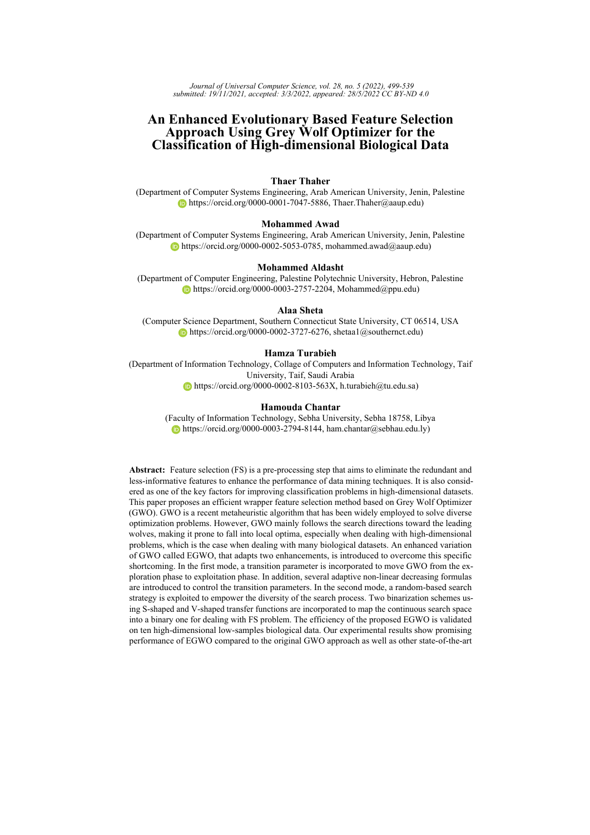<span id="page-39-4"></span>[Mafarja et al., 2020] Mafarja, M., Heidari, A. A., Habib, M., Faris, H., Thaher, T., and Aljarah, I. (2020). Augmented whale feature selection for iot attacks: Structure, analysis and applications. *Future Generation Computer Systems*, 112:18–40.

<span id="page-39-8"></span>[Mafarja et al., 2019] Mafarja, M., Jaber, I., Ahmed, S., and Thaher, T. (2019). Whale optimisation algorithm for high-dimensional small-instance feature selection. *International Journal of Parallel, Emergent and Distributed Systems*, 0(0):1–17.

<span id="page-39-3"></span>[Mafarja and Mirjalili, 2017] Mafarja, M. and Mirjalili, S. (2017). Hybrid whale optimization algorithm with simulated annealing for feature selection. *Neurocomputing*, 260:302–312.

<span id="page-39-9"></span>[Medjahed et al., 2017] Medjahed, S. A., Saadi, T. A., Benyettou, A., and Ouali, M. (2017). Kernel-based learning and feature selection analysis for cancer diagnosis. *Appl. Soft Comput.*, 51(C):39–48.

<span id="page-39-16"></span>[Mirjalili and Dong, 2020] Mirjalili, S. and Dong, J. (2020). *Multi-Objective Optimization using Artificial Intelligence Techniques*.

<span id="page-39-15"></span>[Mirjalili and Lewis, 2013] Mirjalili, S. and Lewis, A. (2013). S-shaped versus v-shaped transfer functions for binary particle swarm optimization. *Swarm and Evolutionary Computation*, 9:1–14.

<span id="page-39-14"></span>[Mirjalili and Lewis, 2016] Mirjalili, S. and Lewis, A. (2016). The whale optimization algorithm. *Advances in Engineering Software*, 95:51–67.

<span id="page-39-6"></span>[Mirjalili et al., 2014] Mirjalili, S., Mirjalili, S. M., and Lewis, A. (2014). Grey wolf optimizer. *Advances in engineering software*, 69:46–61.

<span id="page-39-10"></span>[Mittal et al., 2016a] Mittal, N., Singh, U., and Sohi, B. (2016a). Modified grey wolf optimizer for global engineering optimization. *Applied Computational Intelligence and Soft Computing*, 2016:1–16.

<span id="page-39-13"></span>[Mittal et al., 2016b] Mittal, N., Singh, U., and Sohi, B. (2016b). Modified grey wolf optimizer for global engineering optimization. *Applied Computational Intelligence and Soft Computing*, 2016:1–16.

<span id="page-39-11"></span>[Negi et al., 2020] Negi, G., Kumar, A., Pant, S., and Ram, M. (2020). Gwo: a review and applications. *International Journal of System Assurance Engineering and Management*, 12.

<span id="page-39-2"></span>[Nguyen et al., 2020] Nguyen, B. H., Xue, B., and Zhang, M. (2020). A survey on swarm intelligence approaches to feature selection in data mining. *Swarm and Evolutionary Computation*, 54:100663.

<span id="page-39-12"></span>[P et al., 2021] P, R., Mallidi, S., and Muni, R. (2021). A wrapper based feature selection using grey wolf optimization for botnet attack detection. *International Journal of Sensors, Wireless Communications and Control*, 11:1–6.

<span id="page-39-0"></span>[Pappu and Pardalos, 2013] Pappu, V. and Pardalos, P. (2013). *High Dimensional Data Classification*, page 34.

<span id="page-39-7"></span>[Qu et al., 2020] Qu, C., Gai, W., Zhong, M., and Zhang, J. (2020). A novel reinforcement learning based grey wolf optimizer algorithm for unmanned aerial vehicles (uavs) path planning. *Applied Soft Computing*, 89:106099.

<span id="page-39-17"></span>[Riffenburgh, 2006] Riffenburgh, R. H. (2006). Chapter summaries. In Riffenburgh, R. H., editor, *Statistics in Medicine (Second Edition)*, pages 533 – 580. Academic Press, Burlington, second edition edition.

<span id="page-39-5"></span>[Rostami et al., 2021] Rostami, M., Berahmand, K., Nasiri, E., and Forouzandeh, S. (2021). Review of swarm intelligence-based feature selection methods. *Engineering Applications of Artificial Intelligence*, 100:104210.

<span id="page-39-1"></span>[Sepúlveda et al., 2021] Sepúlveda, A., Castillo, F., Palma, C., and Rodriguez-Fernandez, M. (2021). Emotion recognition from ecg signals using wavelet scattering and machine learning. *Applied Sciences*, 11(11).